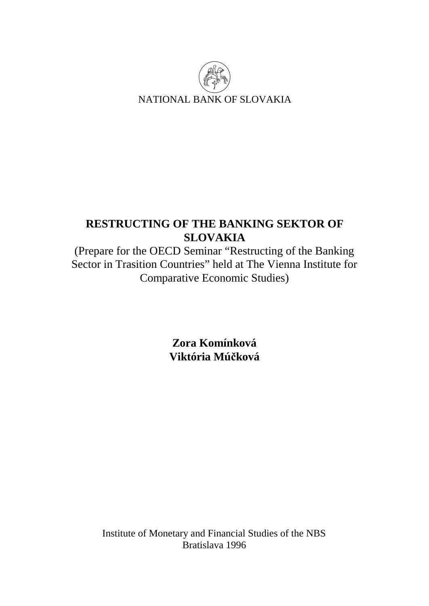

# **RESTRUCTING OF THE BANKING SEKTOR OF SLOVAKIA**

(Prepare for the OECD Seminar "Restructing of the Banking Sector in Trasition Countries" held at The Vienna Institute for Comparative Economic Studies)

> **Zora Komínková Viktória Múčková**

Institute of Monetary and Financial Studies of the NBS Bratislava 1996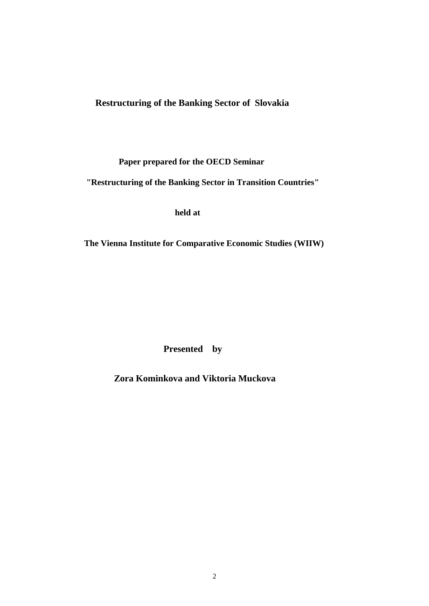**Restructuring of the Banking Sector of Slovakia** 

 **Paper prepared for the OECD Seminar** 

 **"Restructuring of the Banking Sector in Transition Countries"** 

 **held at** 

 **The Vienna Institute for Comparative Economic Studies (WIIW)** 

 **Presented by**

 **Zora Kominkova and Viktoria Muckova**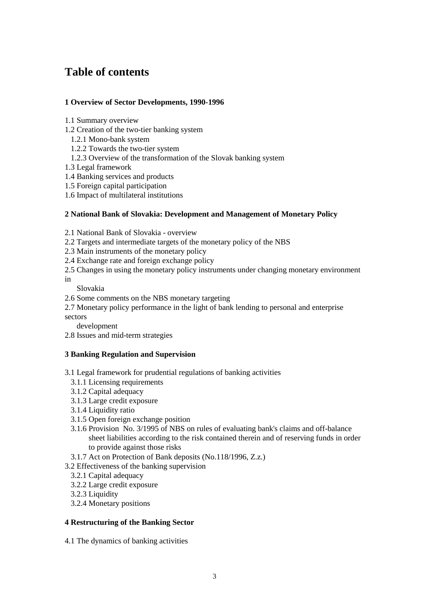# **Table of contents**

# **1 Overview of Sector Developments, 1990-1996**

- 1.1 Summary overview
- 1.2 Creation of the two-tier banking system
	- 1.2.1 Mono-bank system
	- 1.2.2 Towards the two-tier system
	- 1.2.3 Overview of the transformation of the Slovak banking system
- 1.3 Legal framework
- 1.4 Banking services and products
- 1.5 Foreign capital participation
- 1.6 Impact of multilateral institutions

### **2 National Bank of Slovakia: Development and Management of Monetary Policy**

- 2.1 National Bank of Slovakia overview
- 2.2 Targets and intermediate targets of the monetary policy of the NBS
- 2.3 Main instruments of the monetary policy
- 2.4 Exchange rate and foreign exchange policy
- 2.5 Changes in using the monetary policy instruments under changing monetary environment
- in
- Slovakia
- 2.6 Some comments on the NBS monetary targeting
- 2.7 Monetary policy performance in the light of bank lending to personal and enterprise

sectors

development

2.8 Issues and mid-term strategies

# **3 Banking Regulation and Supervision**

- 3.1 Legal framework for prudential regulations of banking activities
	- 3.1.1 Licensing requirements
	- 3.1.2 Capital adequacy
	- 3.1.3 Large credit exposure
	- 3.1.4 Liquidity ratio
	- 3.1.5 Open foreign exchange position
	- 3.1.6 Provision No. 3/1995 of NBS on rules of evaluating bank's claims and off-balance sheet liabilities according to the risk contained therein and of reserving funds in order to provide against those risks
	- 3.1.7 Act on Protection of Bank deposits (No.118/1996, Z.z.)
- 3.2 Effectiveness of the banking supervision
	- 3.2.1 Capital adequacy
	- 3.2.2 Large credit exposure
	- 3.2.3 Liquidity
	- 3.2.4 Monetary positions

### **4 Restructuring of the Banking Sector**

4.1 The dynamics of banking activities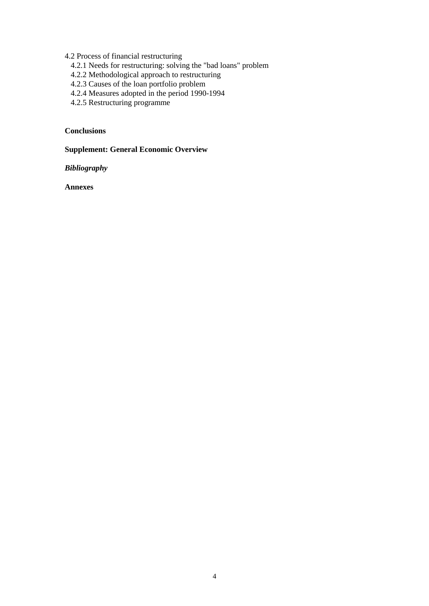4.2 Process of financial restructuring

- 4.2.1 Needs for restructuring: solving the "bad loans" problem
- 4.2.2 Methodological approach to restructuring
- 4.2.3 Causes of the loan portfolio problem
- 4.2.4 Measures adopted in the period 1990-1994
- 4.2.5 Restructuring programme

# **Conclusions**

**Supplement: General Economic Overview** 

*Bibliography*

**Annexes**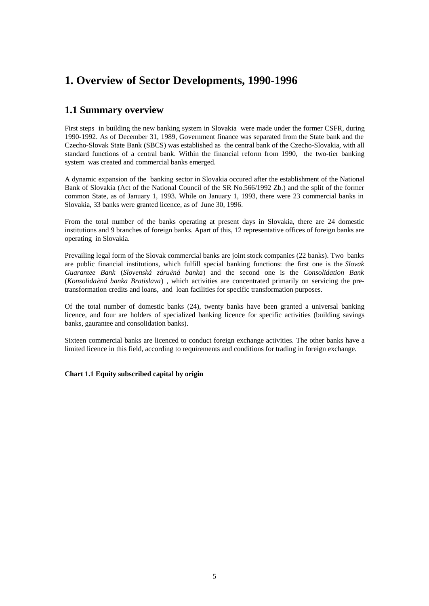# **1. Overview of Sector Developments, 1990-1996**

# **1.1 Summary overview**

First steps in building the new banking system in Slovakia were made under the former CSFR, during 1990-1992. As of December 31, 1989, Government finance was separated from the State bank and the Czecho-Slovak State Bank (SBCS) was established as the central bank of the Czecho-Slovakia, with all standard functions of a central bank. Within the financial reform from 1990,the two-tier banking system was created and commercial banks emerged.

A dynamic expansion of the banking sector in Slovakia occured after the establishment of the National Bank of Slovakia (Act of the National Council of the SR No.566/1992 Zb.) and the split of the former common State, as of January 1, 1993. While on January 1, 1993, there were 23 commercial banks in Slovakia, 33 banks were granted licence, as of June 30, 1996.

From the total number of the banks operating at present days in Slovakia, there are 24 domestic institutions and 9 branches of foreign banks. Apart of this, 12 representative offices of foreign banks are operating in Slovakia.

Prevailing legal form of the Slovak commercial banks are joint stock companies (22 banks). Two banks are public financial institutions, which fulfill special banking functions: the first one is the *Slovak Guarantee Bank* (*Slovenská záruèná banka*) and the second one is the *Consolidation Bank*  (*Konsolidaèná banka Bratislava*) , which activities are concentrated primarily on servicing the pretransformation credits and loans, and loan facilities for specific transformation purposes.

Of the total number of domestic banks (24), twenty banks have been granted a universal banking licence, and four are holders of specialized banking licence for specific activities (building savings banks, gaurantee and consolidation banks).

Sixteen commercial banks are licenced to conduct foreign exchange activities. The other banks have a limited licence in this field, according to requirements and conditions for trading in foreign exchange.

**Chart 1.1 Equity subscribed capital by origin**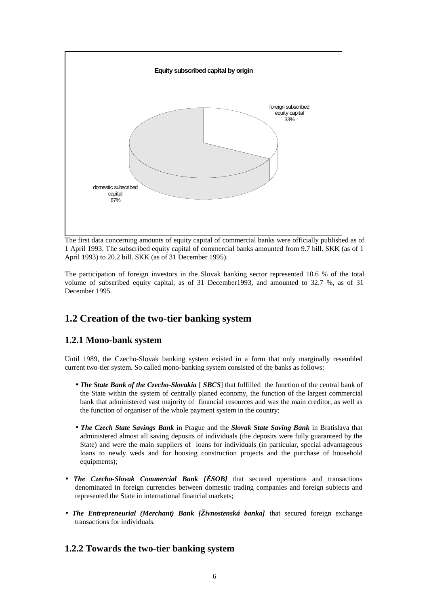

The first data concerning amounts of equity capital of commercial banks were officially published as of 1 April 1993. The subscribed equity capital of commercial banks amounted from 9.7 bill. SKK (as of 1 April 1993) to 20.2 bill. SKK (as of 31 December 1995).

The participation of foreign investors in the Slovak banking sector represented 10.6 % of the total volume of subscribed equity capital, as of 31 December1993, and amounted to 32.7 %, as of 31 December 1995.

# **1.2 Creation of the two-tier banking system**

# **1.2.1 Mono-bank system**

Until 1989, the Czecho-Slovak banking system existed in a form that only marginally resembled current two-tier system. So called mono-banking system consisted of the banks as follows:

- *The State Bank of the Czecho-Slovakia* [ *SBCS*] that fulfilled the function of the central bank of the State within the system of centrally planed economy, the function of the largest commercial bank that administered vast majority of financial resources and was the main creditor, as well as the function of organiser of the whole payment system in the country;
- *The Czech State Savings Bank* in Prague and the *Slovak State Saving Bank* in Bratislava that administered almost all saving deposits of individuals (the deposits were fully guaranteed by the State) and were the main suppliers of loans for individuals (in particular, special advantageous loans to newly weds and for housing construction projects and the purchase of household equipments);
- *The Czecho-Slovak Commercial Bank [ÈSOB]* that secured operations and transactions denominated in foreign currencies between domestic trading companies and foreign subjects and represented the State in international financial markets;
- *The Entrepreneurial (Merchant) Bank [Živnostenská banka]* that secured foreign exchange transactions for individuals.

# **1.2.2 Towards the two-tier banking system**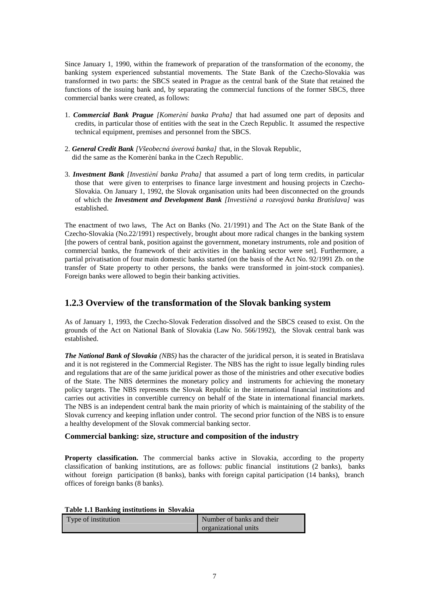Since January 1, 1990, within the framework of preparation of the transformation of the economy, the banking system experienced substantial movements. The State Bank of the Czecho-Slovakia was transformed in two parts: the SBCS seated in Prague as the central bank of the State that retained the functions of the issuing bank and, by separating the commercial functions of the former SBCS, three commercial banks were created, as follows:

- 1. *Commercial Bank Prague [Komerèní banka Praha]* that had assumed one part of deposits and credits, in particular those of entities with the seat in the Czech Republic. It assumed the respective technical equipment, premises and personnel from the SBCS.
- 2. *General Credit Bank [Všeobecná úverová banka]* that, in the Slovak Republic, did the same as the Komerèní banka in the Czech Republic.
- 3. *Investment Bank [Investièní banka Praha]* that assumed a part of long term credits, in particular those that were given to enterprises to finance large investment and housing projects in Czecho-Slovakia. On January 1, 1992, the Slovak organisation units had been disconnected on the grounds of which the *Investment and Development Bank [Investièná a rozvojová banka Bratislava]* was established.

The enactment of two laws, The Act on Banks (No. 21/1991) and The Act on the State Bank of the Czecho-Slovakia (No.22/1991) respectively, brought about more radical changes in the banking system [the powers of central bank, position against the government, monetary instruments, role and position of commercial banks, the framework of their activities in the banking sector were set]. Furthermore, a partial privatisation of four main domestic banks started (on the basis of the Act No. 92/1991 Zb. on the transfer of State property to other persons, the banks were transformed in joint-stock companies). Foreign banks were allowed to begin their banking activities.

# **1.2.3 Overview of the transformation of the Slovak banking system**

As of January 1, 1993, the Czecho-Slovak Federation dissolved and the SBCS ceased to exist. On the grounds of the Act on National Bank of Slovakia (Law No. 566/1992), the Slovak central bank was established.

*The National Bank of Slovakia (NBS)* has the character of the juridical person, it is seated in Bratislava and it is not registered in the Commercial Register. The NBS has the right to issue legally binding rules and regulations that are of the same juridical power as those of the ministries and other executive bodies of the State. The NBS determines the monetary policy and instruments for achieving the monetary policy targets. The NBS represents the Slovak Republic in the international financial institutions and carries out activities in convertible currency on behalf of the State in international financial markets. The NBS is an independent central bank the main priority of which is maintaining of the stability of the Slovak currency and keeping inflation under control. The second prior function of the NBS is to ensure a healthy development of the Slovak commercial banking sector.

### **Commercial banking: size, structure and composition of the industry**

**Property classification.** The commercial banks active in Slovakia, according to the property classification of banking institutions, are as follows: public financial institutions (2 banks), banks without foreign participation (8 banks), banks with foreign capital participation (14 banks), branch offices of foreign banks (8 banks).

|  | Table 1.1 Banking institutions in Slovakia |  |
|--|--------------------------------------------|--|
|  |                                            |  |

| Type of institution | Number of banks and their |
|---------------------|---------------------------|
|                     | organizational units      |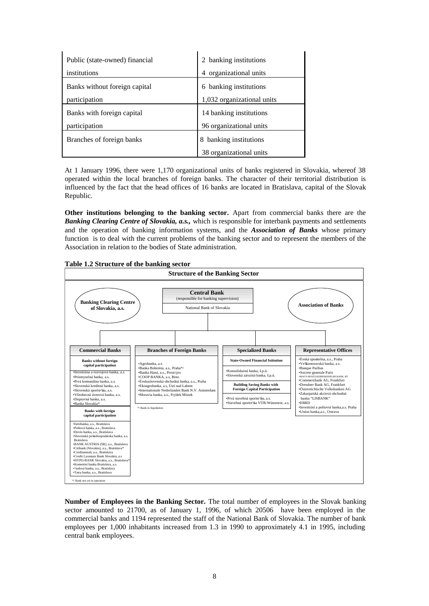| Public (state-owned) financial | banking institutions<br>2  |
|--------------------------------|----------------------------|
| institutions                   | organizational units<br>4  |
| Banks without foreign capital  | 6 banking institutions     |
| participation                  | 1,032 organizational units |
| Banks with foreign capital     | 14 banking institutions    |
| participation                  | 96 organizational units    |
| Branches of foreign banks      | banking institutions<br>8  |
|                                | 38 organizational units    |

At 1 January 1996, there were 1,170 organizational units of banks registered in Slovakia, whereof 38 operated within the local branches of foreign banks. The character of their territorial distribution is influenced by the fact that the head offices of 16 banks are located in Bratislava, capital of the Slovak Republic.

**Other institutions belonging to the banking sector.** Apart from commercial banks there are the *Banking Clearing Centre of Slovakia, a.s.,* which is responsible for interbank payments and settlements and the operation of banking information systems, and the *Association of Banks* whose primary function is to deal with the current problems of the banking sector and to represent the members of the Association in relation to the bodies of State administration.



**Number of Employees in the Banking Sector.** The total number of employees in the Slovak banking sector amounted to 21700, as of January 1, 1996, of which 20506 have been employed in the commercial banks and 1194 represented the staff of the National Bank of Slovakia. The number of bank employees per 1,000 inhabitants increased from 1.3 in 1990 to approximately 4.1 in 1995, including central bank employees.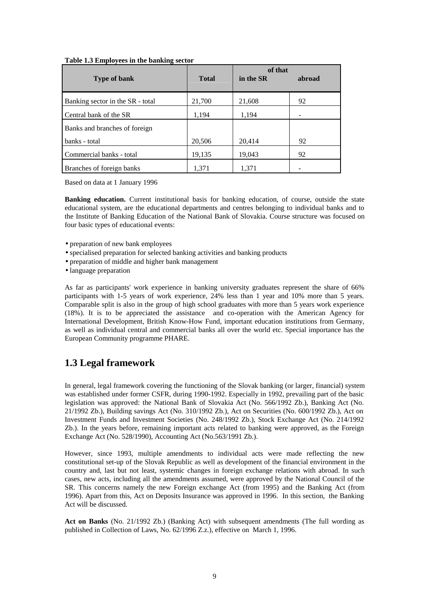#### **Table 1.3 Employees in the banking sector**

|                                  |              | of that   |        |
|----------------------------------|--------------|-----------|--------|
| <b>Type of bank</b>              | <b>Total</b> | in the SR | abroad |
| Banking sector in the SR - total | 21,700       | 21,608    | 92     |
| Central bank of the SR           | 1,194        | 1,194     |        |
| Banks and branches of foreign    |              |           |        |
| banks - total                    | 20,506       | 20,414    | 92     |
| Commercial banks - total         | 19,135       | 19,043    | 92     |
| Branches of foreign banks        | 1.371        | 1,371     |        |

Based on data at 1 January 1996

**Banking education.** Current institutional basis for banking education, of course, outside the state educational system, are the educational departments and centres belonging to individual banks and to the Institute of Banking Education of the National Bank of Slovakia. Course structure was focused on four basic types of educational events:

- preparation of new bank employees
- specialised preparation for selected banking activities and banking products
- preparation of middle and higher bank management
- language preparation

As far as participants' work experience in banking university graduates represent the share of 66% participants with 1-5 years of work experience, 24% less than 1 year and 10% more than 5 years. Comparable split is also in the group of high school graduates with more than 5 years work experience (18%). It is to be appreciated the assistance and co-operation with the American Agency for International Development, British Know-How Fund, important education institutions from Germany, as well as individual central and commercial banks all over the world etc. Special importance has the European Community programme PHARE.

# **1.3 Legal framework**

In general, legal framework covering the functioning of the Slovak banking (or larger, financial) system was established under former CSFR, during 1990-1992. Especially in 1992, prevailing part of the basic legislation was approved: the National Bank of Slovakia Act (No. 566/1992 Zb.), Banking Act (No. 21/1992 Zb.), Building savings Act (No. 310/1992 Zb.), Act on Securities (No. 600/1992 Zb.), Act on Investment Funds and Investment Societies (No. 248/1992 Zb.), Stock Exchange Act (No. 214/1992 Zb.). In the years before, remaining important acts related to banking were approved, as the Foreign Exchange Act (No. 528/1990), Accounting Act (No.563/1991 Zb.).

However, since 1993, multiple amendments to individual acts were made reflecting the new constitutional set-up of the Slovak Republic as well as development of the financial environment in the country and, last but not least, systemic changes in foreign exchange relations with abroad. In such cases, new acts, including all the amendments assumed, were approved by the National Council of the SR. This concerns namely the new Foreign exchange Act (from 1995) and the Banking Act (from 1996). Apart from this, Act on Deposits Insurance was approved in 1996. In this section, the Banking Act will be discussed.

**Act on Banks** (No. 21/1992 Zb.) (Banking Act) with subsequent amendments (The full wording as published in Collection of Laws, No. 62/1996 Z.z.), effective on March 1, 1996.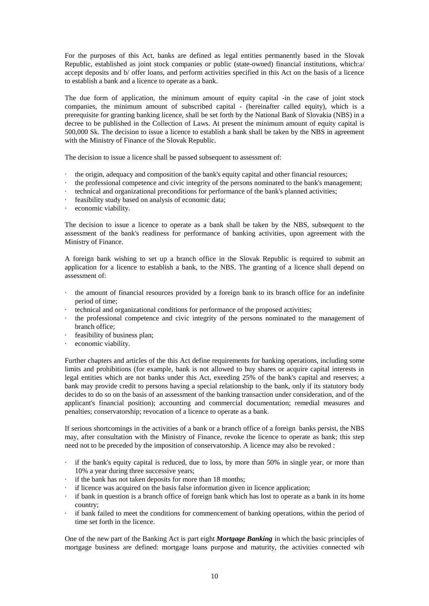For the purposes of this Act, banks are defined as legal entities permanently based in the Slovak Republic, established as joint stock companies or public (state-owned) financial institutions, which:a/ accept deposits and b/ offer loans, and perform activities specified in this Act on the basis of a licence to establish a bank and a licence to operate as a bank.

The due form of application, the minimum amount of equity capital -in the case of joint stock companies, the minimum amount of subscribed capital - (hereinafter called equity), which is a prerequisite for granting banking licence, shall be set forth by the National Bank of Slovakia (NBS) in a decree to be published in the Collection of Laws. At present the minimum amount of equity capital is 500,000 Sk. The decision to issue a licence to establish a bank shall be taken by the NBS in agreement with the Ministry of Finance of the Slovak Republic.

The decision to issue a licence shall be passed subsequent to assessment of:

- · the origin, adequacy and composition of the bank's equity capital and other financial resources;
- the professional competence and civic integrity of the persons nominated to the bank's management;
- · technical and organizational preconditions for performance of the bank's planned activities;
- · feasibility study based on analysis of economic data;
- economic viability.

The decision to issue a licence to operate as a bank shall be taken by the NBS, subsequent to the assessment of the bank's readiness for performance of banking activities, upon agreement with the Ministry of Finance.

A foreign bank wishing to set up a branch office in the Slovak Republic is required to submit an application for a licence to establish a bank, to the NBS. The granting of a licence shall depend on assessment of:

- the amount of financial resources provided by a foreign bank to its branch office for an indefinite period of time;
- technical and organizational conditions for performance of the proposed activities;
- · the professional competence and civic integrity of the persons nominated to the management of branch office;
- feasibility of business plan;
- economic viability.

Further chapters and articles of the this Act define requirements for banking operations, including some limits and prohibitions (for example, bank is not allowed to buy shares or acquire capital interests in legal entities which are not banks under this Act, exeeding 25% of the bank's capital and reserves; a bank may provide credit to persons having a special relationship to the bank, only if its statutory body decides to do so on the basis of an assessment of the banking transaction under consideration, and of the applicant's financial position); accounting and commercial documentation; remedial measures and penalties; conservatorship; revocation of a licence to operate as a bank.

If serious shortcomings in the activities of a bank or a branch office of a foreign banks persist, the NBS may, after consultation with the Ministry of Finance, revoke the licence to operate as bank; this step need not to be preceded by the imposition of conservatorship. A licence may also be revoked :

- · if the bank's equity capital is reduced, due to loss, by more than 50% in single year, or more than 10% a year during three successive years;
- if the bank has not taken deposits for more than 18 months;
- if licence was acquired on the basis false information given in licence application;
- if bank in question is a branch office of foreign bank which has lost to operate as a bank in its home country;
- if bank failed to meet the conditions for commencement of banking operations, within the period of time set forth in the licence.

One of the new part of the Banking Act is part eight *Mortgage Banking* in which the basic principles of mortgage business are defined: mortgage loans purpose and maturity, the activities connected wih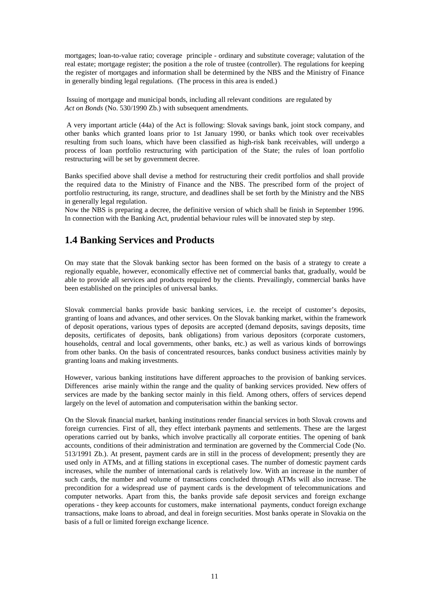mortgages; loan-to-value ratio; coverage principle - ordinary and substitute coverage; valutation of the real estate; mortgage register; the position a the role of trustee (controller). The regulations for keeping the register of mortgages and information shall be determined by the NBS and the Ministry of Finance in generally binding legal regulations. (The process in this area is ended.)

 Issuing of mortgage and municipal bonds, including all relevant conditions are regulated by *Act on Bonds* (No. 530/1990 Zb.) with subsequent amendments.

A very important article (44a) of the Act is following: Slovak savings bank, joint stock company, and other banks which granted loans prior to 1st January 1990, or banks which took over receivables resulting from such loans, which have been classified as high-risk bank receivables, will undergo a process of loan portfolio restructuring with participation of the State; the rules of loan portfolio restructuring will be set by government decree.

Banks specified above shall devise a method for restructuring their credit portfolios and shall provide the required data to the Ministry of Finance and the NBS. The prescribed form of the project of portfolio restructuring, its range, structure, and deadlines shall be set forth by the Ministry and the NBS in generally legal regulation.

Now the NBS is preparing a decree, the definitive version of which shall be finish in September 1996. In connection with the Banking Act, prudential behaviour rules will be innovated step by step.

# **1.4 Banking Services and Products**

On may state that the Slovak banking sector has been formed on the basis of a strategy to create a regionally equable, however, economically effective net of commercial banks that, gradually, would be able to provide all services and products required by the clients. Prevailingly, commercial banks have been established on the principles of universal banks.

Slovak commercial banks provide basic banking services, i.e. the receipt of customer's deposits, granting of loans and advances, and other services. On the Slovak banking market, within the framework of deposit operations, various types of deposits are accepted (demand deposits, savings deposits, time deposits, certificates of deposits, bank obligations) from various depositors (corporate customers, households, central and local governments, other banks, etc.) as well as various kinds of borrowings from other banks. On the basis of concentrated resources, banks conduct business activities mainly by granting loans and making investments.

However, various banking institutions have different approaches to the provision of banking services. Differences arise mainly within the range and the quality of banking services provided. New offers of services are made by the banking sector mainly in this field. Among others, offers of services depend largely on the level of automation and computerisation within the banking sector.

On the Slovak financial market, banking institutions render financial services in both Slovak crowns and foreign currencies. First of all, they effect interbank payments and settlements. These are the largest operations carried out by banks, which involve practically all corporate entities. The opening of bank accounts, conditions of their administration and termination are governed by the Commercial Code (No. 513/1991 Zb.). At present, payment cards are in still in the process of development; presently they are used only in ATMs, and at filling stations in exceptional cases. The number of domestic payment cards increases, while the number of international cards is relatively low. With an increase in the number of such cards, the number and volume of transactions concluded through ATMs will also increase. The precondition for a widespread use of payment cards is the development of telecommunications and computer networks. Apart from this, the banks provide safe deposit services and foreign exchange operations - they keep accounts for customers, make international payments, conduct foreign exchange transactions, make loans to abroad, and deal in foreign securities. Most banks operate in Slovakia on the basis of a full or limited foreign exchange licence.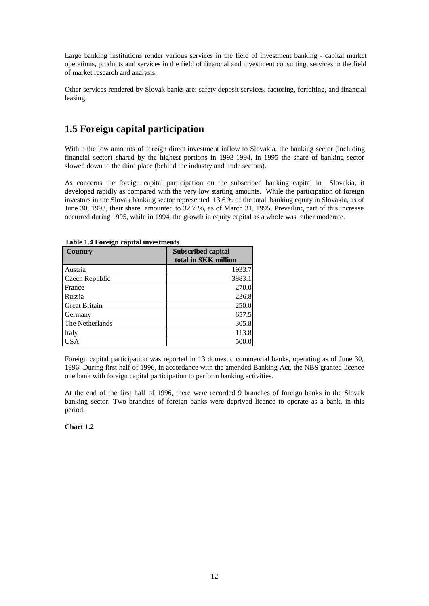Large banking institutions render various services in the field of investment banking - capital market operations, products and services in the field of financial and investment consulting, services in the field of market research and analysis.

Other services rendered by Slovak banks are: safety deposit services, factoring, forfeiting, and financial leasing.

# **1.5 Foreign capital participation**

Within the low amounts of foreign direct investment inflow to Slovakia, the banking sector (including financial sector) shared by the highest portions in 1993-1994, in 1995 the share of banking sector slowed down to the third place (behind the industry and trade sectors).

As concerns the foreign capital participation on the subscribed banking capital in Slovakia, it developed rapidly as compared with the very low starting amounts. While the participation of foreign investors in the Slovak banking sector represented 13.6 % of the total banking equity in Slovakia, as of June 30, 1993, their share amounted to 32.7 %, as of March 31, 1995. Prevailing part of this increase occurred during 1995, while in 1994, the growth in equity capital as a whole was rather moderate.

| <b>Country</b>       | <b>Subscribed capital</b><br>total in SKK million |
|----------------------|---------------------------------------------------|
| Austria              | 1933.7                                            |
| Czech Republic       | 3983.1                                            |
| France               | 270.0                                             |
| Russia               | 236.8                                             |
| <b>Great Britain</b> | 250.0                                             |
| Germany              | 657.5                                             |
| The Netherlands      | 305.8                                             |
| Italy                | 113.8                                             |
| ſSΑ                  | 500                                               |

**Table 1.4 Foreign capital investments** 

Foreign capital participation was reported in 13 domestic commercial banks, operating as of June 30, 1996. During first half of 1996, in accordance with the amended Banking Act, the NBS granted licence one bank with foreign capital participation to perform banking activities.

At the end of the first half of 1996, there were recorded 9 branches of foreign banks in the Slovak banking sector. Two branches of foreign banks were deprived licence to operate as a bank, in this period.

### **Chart 1.2**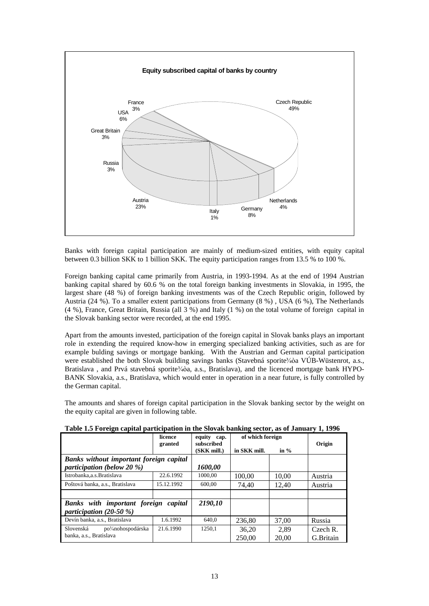

Banks with foreign capital participation are mainly of medium-sized entities, with equity capital between 0.3 billion SKK to 1 billion SKK. The equity participation ranges from 13.5 % to 100 %.

Foreign banking capital came primarily from Austria, in 1993-1994. As at the end of 1994 Austrian banking capital shared by 60.6 % on the total foreign banking investments in Slovakia, in 1995, the largest share (48 %) of foreign banking investments was of the Czech Republic origin, followed by Austria (24 %). To a smaller extent participations from Germany (8 %) , USA (6 %), The Netherlands (4 %), France, Great Britain, Russia (all 3 %) and Italy (1 %) on the total volume of foreign capital in the Slovak banking sector were recorded, at the end 1995.

Apart from the amounts invested, participation of the foreign capital in Slovak banks plays an important role in extending the required know-how in emerging specialized banking activities, such as are for example bulding savings or mortgage banking. With the Austrian and German capital participation were established the both Slovak building savings banks (Stavebná sporite¾òa VÚB-Wüstenrot, a.s., Bratislava, and Prvá stavebná sporite¾òa, a.s., Bratislava), and the licenced mortgage bank HYPO-BANK Slovakia, a.s., Bratislava, which would enter in operation in a near future, is fully controlled by the German capital.

The amounts and shares of foreign capital participation in the Slovak banking sector by the weight on the equity capital are given in following table.

| -                                                         |                    |                           |                  |        |           |
|-----------------------------------------------------------|--------------------|---------------------------|------------------|--------|-----------|
|                                                           | licence<br>granted | equity cap.<br>subscribed | of which foreign |        | Origin    |
|                                                           |                    | (SKK mill.)               | in SKK mill.     | in $%$ |           |
| Banks without important foreign capital                   |                    |                           |                  |        |           |
| participation (below 20 $\%$ )                            |                    | 1600,00                   |                  |        |           |
| Istrobanka.a.s.Bratislava                                 | 22.6.1992          | 1000.00                   | 100,00           | 10,00  | Austria   |
| Poštová banka, a.s., Bratislava                           | 15.12.1992         | 600.00                    | 74,40            | 12.40  | Austria   |
|                                                           |                    |                           |                  |        |           |
| Banks with important foreign capital                      |                    | 2190,10                   |                  |        |           |
| participation $(20-50\% )$                                |                    |                           |                  |        |           |
| Devín banka, a.s., Bratislava                             | 1.6.1992           | 640.0                     | 236,80           | 37.00  | Russia    |
| Slovenská<br>po <sup>3</sup> / <sub>4</sub> nohospodárska | 21.6.1990          | 1250.1                    | 36,20            | 2,89   | Czech R.  |
| banka, a.s., Bratislava                                   |                    |                           | 250,00           | 20,00  | G.Britain |

**Table 1.5 Foreign capital participation in the Slovak banking sector, as of January 1, 1996**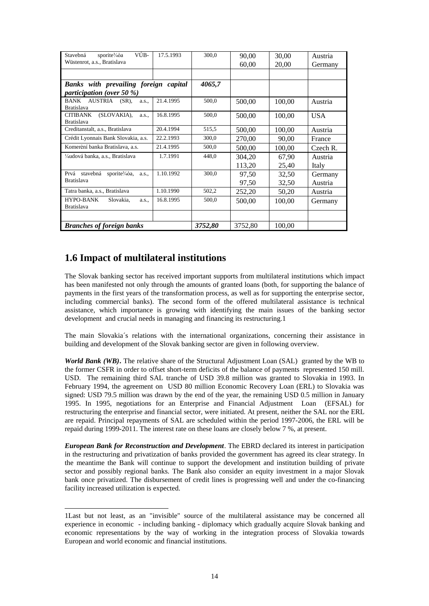| VÚB-<br>Stavebná<br>sporite3/40a<br>Wüstenrot, a.s., Bratislava  | 17.5.1993 | 300,0   | 90,00<br>60,00 | 30,00<br>20,00 | Austria<br>Germany |
|------------------------------------------------------------------|-----------|---------|----------------|----------------|--------------------|
|                                                                  |           |         |                |                |                    |
| Banks with prevailing foreign capital                            |           | 4065,7  |                |                |                    |
| <i>participation (over 50 %)</i>                                 |           |         |                |                |                    |
| <b>BANK</b><br>AUSTRIA<br>$(SR)$ ,<br>a.s.,<br><b>Bratislava</b> | 21.4.1995 | 500,0   | 500,00         | 100,00         | Austria            |
| (SLOVAKIA),<br><b>CITIBANK</b><br>a.s<br><b>Bratislava</b>       | 16.8.1995 | 500,0   | 500,00         | 100,00         | <b>USA</b>         |
| Creditanstalt, a.s., Bratislava                                  | 20.4.1994 | 515,5   | 500,00         | 100,00         | Austria            |
| Crédit Lyonnais Bank Slovakia, a.s.                              | 22.2.1993 | 300,0   | 270,00         | 90.00          | France             |
| Komerèní banka Bratislava, a.s.<br>21.4.1995                     |           | 500,0   | 500,00         | 100,00         | Czech R.           |
| ¼udová banka, a.s., Bratislava                                   | 1.7.1991  | 448,0   | 304.20         | 67,90          | Austria            |
|                                                                  |           |         | 113,20         | 25,40          | Italy              |
| stavebná<br>Prvá<br>sporite <sup>3</sup> /40a,<br>a.s            | 1.10.1992 | 300,0   | 97,50          | 32,50          | Germany            |
| <b>Bratislava</b>                                                |           |         | 97,50          | 32,50          | Austria            |
| Tatra banka, a.s., Bratislava                                    | 1.10.1990 | 502,2   | 252,20         | 50,20          | Austria            |
| <b>HYPO-BANK</b><br>Slovakia,<br>a.s<br><b>Bratislava</b>        | 16.8.1995 | 500,0   | 500,00         | 100,00         | Germany            |
|                                                                  |           |         |                |                |                    |
| <b>Branches of foreign banks</b>                                 |           | 3752,80 | 3752,80        | 100,00         |                    |

# **1.6 Impact of multilateral institutions**

l

The Slovak banking sector has received important supports from multilateral institutions which impact has been manifested not only through the amounts of granted loans (both, for supporting the balance of payments in the first years of the transformation process, as well as for supporting the enterprise sector, including commercial banks). The second form of the offered multilateral assistance is technical assistance, which importance is growing with identifying the main issues of the banking sector development and crucial needs in managing and financing its restructuring.1

The main Slovakia´s relations with the international organizations, concerning their assistance in building and development of the Slovak banking sector are given in following overview.

*World Bank (WB)***.** The relative share of the Structural Adjustment Loan (SAL) granted by the WB to the former CSFR in order to offset short-term deficits of the balance of payments represented 150 mill. USD. The remaining third SAL tranche of USD 39.8 million was granted to Slovakia in 1993. In February 1994, the agreement on USD 80 million Economic Recovery Loan (ERL) to Slovakia was signed: USD 79.5 million was drawn by the end of the year, the remaining USD 0.5 million in January 1995. In 1995, negotiations for an Enterprise and Financial Adjustment Loan (EFSAL) for restructuring the enterprise and financial sector, were initiated. At present, neither the SAL nor the ERL are repaid. Principal repayments of SAL are scheduled within the period 1997-2006, the ERL will be repaid during 1999-2011. The interest rate on these loans are closely below 7 %, at present.

*European Bank for Reconstruction and Development*. The EBRD declared its interest in participation in the restructuring and privatization of banks provided the government has agreed its clear strategy. In the meantime the Bank will continue to support the development and institution building of private sector and possibly regional banks. The Bank also consider an equity investment in a major Slovak bank once privatized. The disbursement of credit lines is progressing well and under the co-financing facility increased utilization is expected.

<sup>1</sup>Last but not least, as an "invisible" source of the multilateral assistance may be concerned all experience in economic - including banking - diplomacy which gradually acquire Slovak banking and economic representations by the way of working in the integration process of Slovakia towards European and world economic and financial institutions.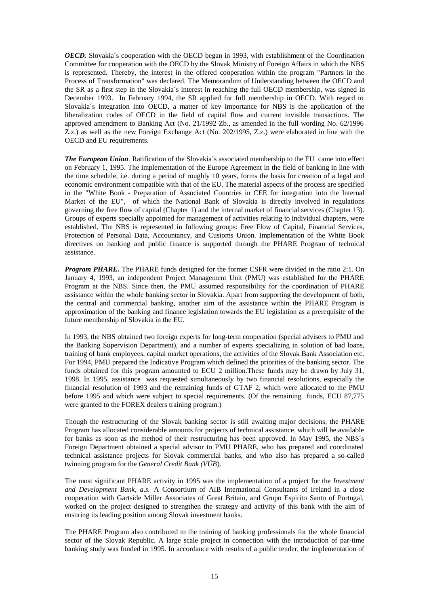*OECD.* Slovakia´s cooperation with the OECD began in 1993, with establishment of the Coordination Committee for cooperation with the OECD by the Slovak Ministry of Foreign Affairs in which the NBS is represented. Thereby, the interest in the offered cooperation within the program "Partners in the Process of Transformation" was declared. The Memorandum of Understanding between the OECD and the SR as a first step in the Slovakia´s interest in reaching the full OECD membership, was signed in December 1993. In February 1994, the SR applied for full membership in OECD. With regard to Slovakia´s integration into OECD, a matter of key importance for NBS is the application of the liberalization codes of OECD in the field of capital flow and current invisible transactions. The approved amendment to Banking Act (No. 21/1992 Zb., as amended in the full wording No. 62/1996 Z.z.) as well as the new Foreign Exchange Act (No. 202/1995, Z.z.) were elaborated in line with the OECD and EU requirements.

*The European Union.* Ratification of the Slovakia´s associated membership to the EU came into effect on February 1, 1995. The implementation of the Europe Agreement in the field of banking in line with the time schedule, i.e. during a period of roughly 10 years, forms the basis for creation of a legal and economic environment compatible with that of the EU. The material aspects of the process are specified in the "White Book - Preparation of Associated Countries in CEE for integration into the Internal Market of the EU", of which the National Bank of Slovakia is directly involved in regulations governing the free flow of capital (Chapter 1) and the internal market of financial services (Chapter 13). Groups of experts specially appointed for management of activities relating to individual chapters, were established. The NBS is represented in following groups: Free Flow of Capital, Financial Services, Protection of Personal Data, Accountancy, and Customs Union. Implementation of the White Book directives on banking and public finance is supported through the PHARE Program of technical assistance.

*Program PHARE.* The PHARE funds designed for the former CSFR were divided in the ratio 2:1. On January 4, 1993, an independent Project Management Unit (PMU) was established for the PHARE Program at the NBS. Since then, the PMU assumed responsibility for the coordination of PHARE assistance within the whole banking sector in Slovakia. Apart from supporting the development of both, the central and commercial banking, another aim of the assistance within the PHARE Program is approximation of the banking and finance legislation towards the EU legislation as a prerequisite of the future membership of Slovakia in the EU.

In 1993, the NBS obtained two foreign experts for long-term cooperation (special advisers to PMU and the Banking Supervision Department), and a number of experts specializing in solution of bad loans, training of bank employees, capital market operations, the activities of the Slovak Bank Association etc. For 1994, PMU prepared the Indicative Program which defined the priorities of the banking sector. The funds obtained for this program amounted to ECU 2 million.These funds may be drawn by July 31, 1998. In 1995, assistance was requested simultaneously by two financial resolutions, especially the financial resolution of 1993 and the remaining funds of GTAF 2, which were allocated to the PMU before 1995 and which were subject to special requirements. (Of the remaining funds, ECU 87,775 were granted to the FOREX dealers training program.)

Though the restructuring of the Slovak banking sector is still awaiting major decisions, the PHARE Program has allocated considerable amounts for projects of technical assistance, which will be available for banks as soon as the method of their restructuring has been approved. In May 1995, the NBS´s Foreign Department obtained a special advisor to PMU PHARE, who has prepared and coordinated technical assistance projects for Slovak commercial banks, and who also has prepared a so-called twinning program for the *General Credit Bank (VÚB*).

The most significant PHARE activity in 1995 was the implementation of a project for the *Investment and Development Bank, a.s.* A Consortium of AIB International Consultants of Ireland in a close cooperation with Gartside Miller Associates of Great Britain, and Grupo Espirito Santo of Portugal, worked on the project designed to strengthen the strategy and activity of this bank with the aim of ensuring its leading position among Slovak investment banks.

The PHARE Program also contributed to the training of banking professionals for the whole financial sector of the Slovak Republic. A large scale project in connection with the introduction of par-time banking study was funded in 1995. In accordance with results of a public tender, the implementation of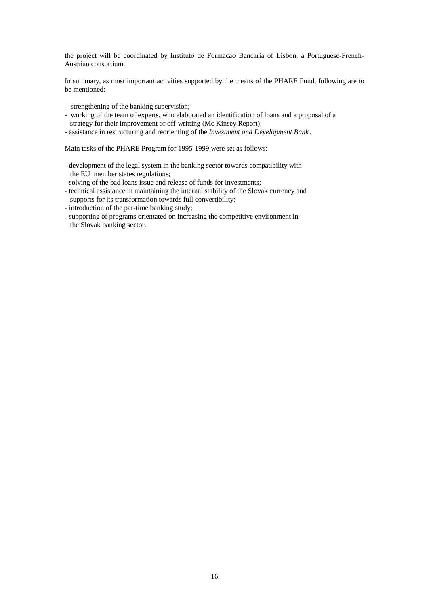the project will be coordinated by Instituto de Formacao Bancaria of Lisbon, a Portuguese-French-Austrian consortium.

In summary, as most important activities supported by the means of the PHARE Fund, following are to be mentioned:

- strengthening of the banking supervision;
- working of the team of experts, who elaborated an identification of loans and a proposal of a strategy for their improvement or off-writting (Mc Kinsey Report);
- assistance in restructuring and reorienting of the *Investment and Development Bank*.

Main tasks of the PHARE Program for 1995-1999 were set as follows:

- development of the legal system in the banking sector towards compatibility with the EU member states regulations;
- solving of the bad loans issue and release of funds for investments;
- technical assistance in maintaining the internal stability of the Slovak currency and supports for its transformation towards full convertibility;
- introduction of the par-time banking study;
- supporting of programs orientated on increasing the competitive environment in the Slovak banking sector.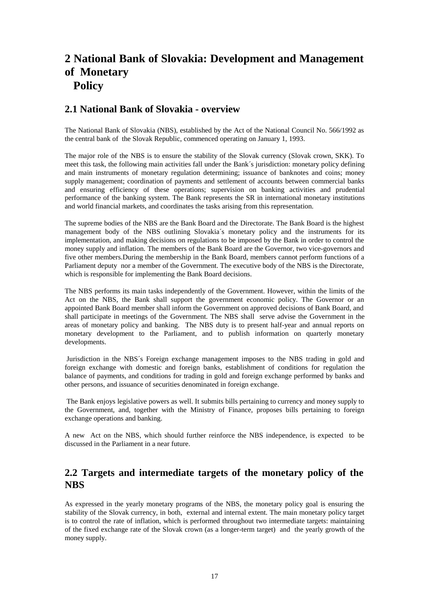# **2 National Bank of Slovakia: Development and Management of Monetary Policy**

# **2.1 National Bank of Slovakia - overview**

The National Bank of Slovakia (NBS), established by the Act of the National Council No. 566/1992 as the central bank of the Slovak Republic, commenced operating on January 1, 1993.

The major role of the NBS is to ensure the stability of the Slovak currency (Slovak crown, SKK). To meet this task, the following main activities fall under the Bank´s jurisdiction: monetary policy defining and main instruments of monetary regulation determining; issuance of banknotes and coins; money supply management; coordination of payments and settlement of accounts between commercial banks and ensuring efficiency of these operations; supervision on banking activities and prudential performance of the banking system. The Bank represents the SR in international monetary institutions and world financial markets, and coordinates the tasks arising from this representation.

The supreme bodies of the NBS are the Bank Board and the Directorate. The Bank Board is the highest management body of the NBS outlining Slovakia´s monetary policy and the instruments for its implementation, and making decisions on regulations to be imposed by the Bank in order to control the money supply and inflation. The members of the Bank Board are the Governor, two vice-governors and five other members.During the membership in the Bank Board, members cannot perform functions of a Parliament deputy nor a member of the Government. The executive body of the NBS is the Directorate, which is responsible for implementing the Bank Board decisions.

The NBS performs its main tasks independently of the Government. However, within the limits of the Act on the NBS, the Bank shall support the government economic policy. The Governor or an appointed Bank Board member shall inform the Government on approved decisions of Bank Board, and shall participate in meetings of the Government. The NBS shall serve advise the Government in the areas of monetary policy and banking. The NBS duty is to present half-year and annual reports on monetary development to the Parliament, and to publish information on quarterly monetary developments.

 Jurisdiction in the NBS´s Foreign exchange management imposes to the NBS trading in gold and foreign exchange with domestic and foreign banks, establishment of conditions for regulation the balance of payments, and conditions for trading in gold and foreign exchange performed by banks and other persons, and issuance of securities denominated in foreign exchange.

The Bank enjoys legislative powers as well. It submits bills pertaining to currency and money supply to the Government, and, together with the Ministry of Finance, proposes bills pertaining to foreign exchange operations and banking.

A new Act on the NBS, which should further reinforce the NBS independence, is expected to be discussed in the Parliament in a near future.

# **2.2 Targets and intermediate targets of the monetary policy of the NBS**

As expressed in the yearly monetary programs of the NBS, the monetary policy goal is ensuring the stability of the Slovak currency, in both, external and internal extent. The main monetary policy target is to control the rate of inflation, which is performed throughout two intermediate targets: maintaining of the fixed exchange rate of the Slovak crown (as a longer-term target) and the yearly growth of the money supply.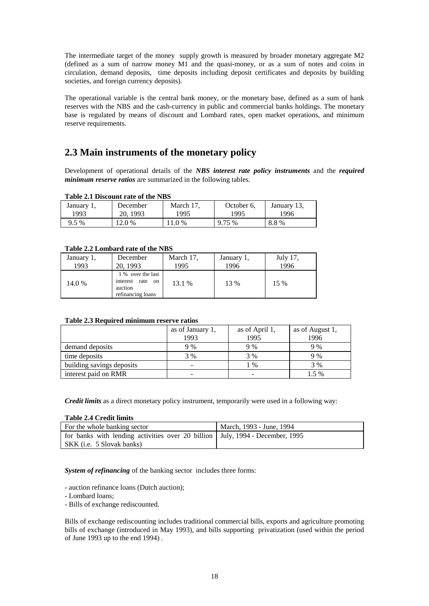The intermediate target of the money supply growth is measured by broader monetary aggregate M2 (defined as a sum of narrow money M1 and the quasi-money, or as a sum of notes and coins in circulation, demand deposits, time deposits including deposit certificates and deposits by building societies, and foreign currency deposits).

The operational variable is the central bank money, or the monetary base, defined as a sum of bank reserves with the NBS and the cash-currency in public and commercial banks holdings. The monetary base is regulated by means of discount and Lombard rates, open market operations, and minimum reserve requirements.

# **2.3 Main instruments of the monetary policy**

Development of operational details of the *NBS interest rate policy instruments* and the *required minimum reserve ratios* are summarized in the following tables.

| January 1, | December | March 17. | October 6, | January 13, |
|------------|----------|-----------|------------|-------------|
| 1993       | 20.1993  | 1995      | 1995       | 1996        |
| $9.5\%$    | 12.0 %   | 11.0 %    | 9.75 %     | 8.8%        |

#### **Table 2.2 Lombard rate of the NBS**

| January 1,<br>1993 | December<br>20, 1993                                                     | March 17,<br>1995 | January 1,<br>1996 | July 17,<br>1996 |
|--------------------|--------------------------------------------------------------------------|-------------------|--------------------|------------------|
| 14.0 %             | 1 % over the last<br>interest rate<br>on<br>auction<br>refinancing loans | 13.1 %            | 13 %               | 15 %             |

#### **Table 2.3 Required minimum reserve ratios**

|                           | as of January 1,<br>1993 | as of April 1,<br>1995 | as of August 1,<br>1996 |
|---------------------------|--------------------------|------------------------|-------------------------|
| demand deposits           | 9 %                      | 9 %                    | 9 %                     |
| time deposits             | 3 %                      | 3 %                    | 9 %                     |
| building savings deposits |                          | 1 %                    | 3 %                     |
| interest paid on RMR      |                          |                        | 1.5 %                   |

*Credit limits* as a direct monetary policy instrument, temporarily were used in a following way:

#### **Table 2.4 Credit limits**

| For the whole banking sector                                                    | March, 1993 - June, 1994 |
|---------------------------------------------------------------------------------|--------------------------|
| for banks with lending activities over 20 billion   July, 1994 - December, 1995 |                          |
| SKK (i.e. 5 Slovak banks)                                                       |                          |

*System of refinancing* of the banking sector includes three forms:

- auction refinance loans (Dutch auction);

- Lombard loans;

- Bills of exchange rediscounted.

Bills of exchange rediscounting includes traditional commercial bills, exports and agriculture promoting bills of exchange (introduced in May 1993), and bills supporting privatization (used within the period of June 1993 up to the end 1994) .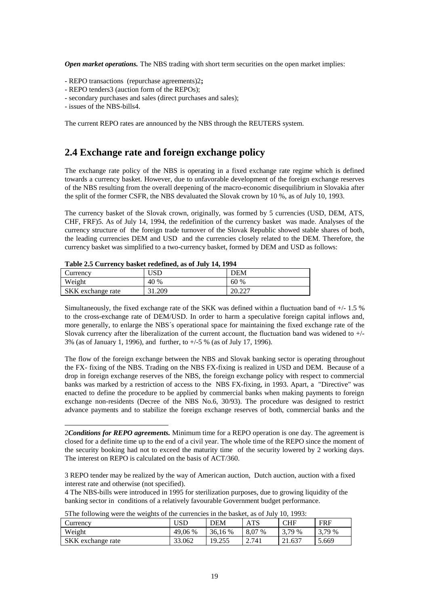*Open market operations.* The NBS trading with short term securities on the open market implies:

- REPO transactions (repurchase agreements)2**;**
- REPO tenders3 (auction form of the REPOs);
- secondary purchases and sales (direct purchases and sales);
- issues of the NBS-bills4.

l

The current REPO rates are announced by the NBS through the REUTERS system.

# **2.4 Exchange rate and foreign exchange policy**

The exchange rate policy of the NBS is operating in a fixed exchange rate regime which is defined towards a currency basket. However, due to unfavorable development of the foreign exchange reserves of the NBS resulting from the overall deepening of the macro-economic disequilibrium in Slovakia after the split of the former CSFR, the NBS devaluated the Slovak crown by 10 %, as of July 10, 1993.

The currency basket of the Slovak crown, originally, was formed by 5 currencies (USD, DEM, ATS, CHF, FRF)5. As of July 14, 1994, the redefinition of the currency basket was made. Analyses of the currency structure of the foreign trade turnover of the Slovak Republic showed stable shares of both, the leading currencies DEM and USD and the currencies closely related to the DEM. Therefore, the currency basket was simplified to a two-currency basket, formed by DEM and USD as follows:

|                   | Table 2.5 Currency basket reachined, as of oury 17, 1777 |               |
|-------------------|----------------------------------------------------------|---------------|
| Currency          | USD                                                      | <b>DEM</b>    |
| Weight            | 40 %                                                     | 60 %          |
| SKK exchange rate | 31.209                                                   | 20. <i>22</i> |

**Table 2.5 Currency basket redefined, as of July 14, 1994** 

Simultaneously, the fixed exchange rate of the SKK was defined within a fluctuation band of  $+/- 1.5$  % to the cross-exchange rate of DEM/USD. In order to harm a speculative foreign capital inflows and, more generally, to enlarge the NBS´s operational space for maintaining the fixed exchange rate of the Slovak currency after the liberalization of the current account, the fluctuation band was widened to +/- 3% (as of January 1, 1996), and further, to +/-5 % (as of July 17, 1996).

The flow of the foreign exchange between the NBS and Slovak banking sector is operating throughout the FX- fixing of the NBS. Trading on the NBS FX-fixing is realized in USD and DEM. Because of a drop in foreign exchange reserves of the NBS, the foreign exchange policy with respect to commercial banks was marked by a restriction of access to the NBS FX-fixing, in 1993. Apart, a "Directive" was enacted to define the procedure to be applied by commercial banks when making payments to foreign exchange non-residents (Decree of the NBS No.6, 30/93). The procedure was designed to restrict advance payments and to stabilize the foreign exchange reserves of both, commercial banks and the

<sup>4</sup> The NBS-bills were introduced in 1995 for sterilization purposes, due to growing liquidity of the banking sector in conditions of a relatively favourable Government budget performance.

| Currency          | USD     | DEM     | ATS    | CHF    | <b>FRF</b> |
|-------------------|---------|---------|--------|--------|------------|
| Weight            | 49,06 % | 36.16 % | 8,07 % | 3.79 % | 3,79 %     |
| SKK exchange rate | 33.062  | 19.255  | 2.741  | 21.637 | 5.669      |

5The following were the weights of the currencies in the basket, as of July 10, 1993:

<sup>2</sup>*Conditions for REPO agreements.* Minimum time for a REPO operation is one day. The agreement is closed for a definite time up to the end of a civil year. The whole time of the REPO since the moment of the security booking had not to exceed the maturity time of the security lowered by 2 working days. The interest on REPO is calculated on the basis of ACT/360.

<sup>3</sup> REPO tender may be realized by the way of American auction, Dutch auction, auction with a fixed interest rate and otherwise (not specified).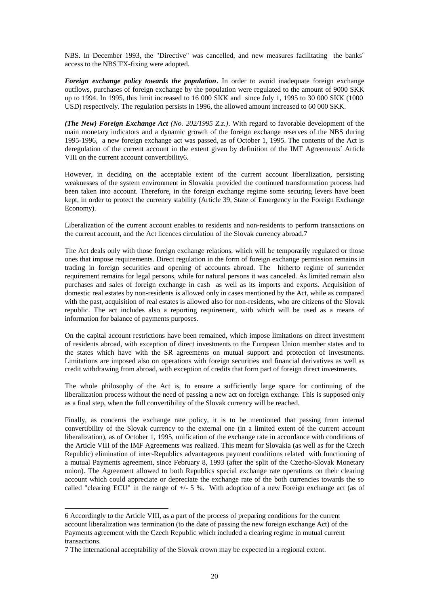NBS. In December 1993, the "Directive" was cancelled, and new measures facilitating the banks´ access to the NBS´FX-fixing were adopted.

*Foreign exchange policy towards the population***.** In order to avoid inadequate foreign exchange outflows, purchases of foreign exchange by the population were regulated to the amount of 9000 SKK up to 1994. In 1995, this limit increased to 16 000 SKK and since July 1, 1995 to 30 000 SKK (1000 USD) respectively. The regulation persists in 1996, the allowed amount increased to 60 000 SKK.

*(The New) Foreign Exchange Act (No. 202/1995 Z.z.)*. With regard to favorable development of the main monetary indicators and a dynamic growth of the foreign exchange reserves of the NBS during 1995-1996, a new foreign exchange act was passed, as of October 1, 1995. The contents of the Act is deregulation of the current account in the extent given by definition of the IMF Agreements´ Article VIII on the current account convertibility6.

However, in deciding on the acceptable extent of the current account liberalization, persisting weaknesses of the system environment in Slovakia provided the continued transformation process had been taken into account. Therefore, in the foreign exchange regime some securing levers have been kept, in order to protect the currency stability (Article 39, State of Emergency in the Foreign Exchange Economy).

Liberalization of the current account enables to residents and non-residents to perform transactions on the current account, and the Act licences circulation of the Slovak currency abroad.7

The Act deals only with those foreign exchange relations, which will be temporarily regulated or those ones that impose requirements. Direct regulation in the form of foreign exchange permission remains in trading in foreign securities and opening of accounts abroad. The hitherto regime of surrender requirement remains for legal persons, while for natural persons it was canceled. As limited remain also purchases and sales of foreign exchange in cash as well as its imports and exports. Acquisition of domestic real estates by non-residents is allowed only in cases mentioned by the Act, while as compared with the past, acquisition of real estates is allowed also for non-residents, who are citizens of the Slovak republic. The act includes also a reporting requirement, with which will be used as a means of information for balance of payments purposes.

On the capital account restrictions have been remained, which impose limitations on direct investment of residents abroad, with exception of direct investments to the European Union member states and to the states which have with the SR agreements on mutual support and protection of investments. Limitations are imposed also on operations with foreign securities and financial derivatives as well as credit withdrawing from abroad, with exception of credits that form part of foreign direct investments.

The whole philosophy of the Act is, to ensure a sufficiently large space for continuing of the liberalization process without the need of passing a new act on foreign exchange. This is supposed only as a final step, when the full convertibility of the Slovak currency will be reached.

Finally, as concerns the exchange rate policy, it is to be mentioned that passing from internal convertibility of the Slovak currency to the external one (in a limited extent of the current account liberalization), as of October 1, 1995, unification of the exchange rate in accordance with conditions of the Article VIII of the IMF Agreements was realized. This meant for Slovakia (as well as for the Czech Republic) elimination of inter-Republics advantageous payment conditions related with functioning of a mutual Payments agreement, since February 8, 1993 (after the split of the Czecho-Slovak Monetary union). The Agreement allowed to both Republics special exchange rate operations on their clearing account which could appreciate or depreciate the exchange rate of the both currencies towards the so called "clearing ECU" in the range of  $+/- 5$ %. With adoption of a new Foreign exchange act (as of

l

<sup>6</sup> Accordingly to the Article VIII, as a part of the process of preparing conditions for the current account liberalization was termination (to the date of passing the new foreign exchange Act) of the Payments agreement with the Czech Republic which included a clearing regime in mutual current transactions.

<sup>7</sup> The international acceptability of the Slovak crown may be expected in a regional extent.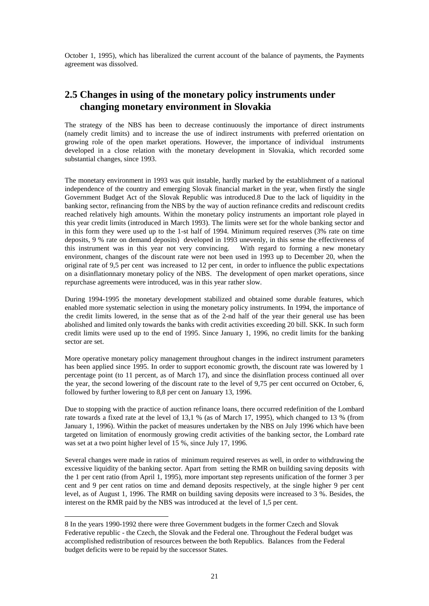October 1, 1995), which has liberalized the current account of the balance of payments, the Payments agreement was dissolved.

# **2.5 Changes in using of the monetary policy instruments under changing monetary environment in Slovakia**

The strategy of the NBS has been to decrease continuously the importance of direct instruments (namely credit limits) and to increase the use of indirect instruments with preferred orientation on growing role of the open market operations. However, the importance of individual instruments developed in a close relation with the monetary development in Slovakia, which recorded some substantial changes, since 1993.

The monetary environment in 1993 was quit instable, hardly marked by the establishment of a national independence of the country and emerging Slovak financial market in the year, when firstly the single Government Budget Act of the Slovak Republic was introduced.8 Due to the lack of liquidity in the banking sector, refinancing from the NBS by the way of auction refinance credits and rediscount credits reached relatively high amounts. Within the monetary policy instruments an important role played in this year credit limits (introduced in March 1993). The limits were set for the whole banking sector and in this form they were used up to the 1-st half of 1994. Minimum required reserves (3% rate on time deposits, 9 % rate on demand deposits) developed in 1993 unevenly, in this sense the effectiveness of this instrument was in this year not very convincing. With regard to forming a new monetary environment, changes of the discount rate were not been used in 1993 up to December 20, when the original rate of 9,5 per cent was increased to 12 per cent, in order to influence the public expectations on a disinflationnary monetary policy of the NBS. The development of open market operations, since repurchase agreements were introduced, was in this year rather slow.

During 1994-1995 the monetary development stabilized and obtained some durable features, which enabled more systematic selection in using the monetary policy instruments. In 1994, the importance of the credit limits lowered, in the sense that as of the 2-nd half of the year their general use has been abolished and limited only towards the banks with credit activities exceeding 20 bill. SKK. In such form credit limits were used up to the end of 1995. Since January 1, 1996, no credit limits for the banking sector are set.

More operative monetary policy management throughout changes in the indirect instrument parameters has been applied since 1995. In order to support economic growth, the discount rate was lowered by 1 percentage point (to 11 percent, as of March 17), and since the disinflation process continued all over the year, the second lowering of the discount rate to the level of 9,75 per cent occurred on October, 6, followed by further lowering to 8,8 per cent on January 13, 1996.

Due to stopping with the practice of auction refinance loans, there occurred redefinition of the Lombard rate towards a fixed rate at the level of 13,1 % (as of March 17, 1995), which changed to 13 % (from January 1, 1996). Within the packet of measures undertaken by the NBS on July 1996 which have been targeted on limitation of enormously growing credit activities of the banking sector, the Lombard rate was set at a two point higher level of 15 %, since July 17, 1996.

Several changes were made in ratios of minimum required reserves as well, in order to withdrawing the excessive liquidity of the banking sector. Apart from setting the RMR on building saving deposits with the 1 per cent ratio (from April 1, 1995), more important step represents unification of the former 3 per cent and 9 per cent ratios on time and demand deposits respectively, at the single higher 9 per cent level, as of August 1, 1996. The RMR on building saving deposits were increased to 3 %. Besides, the interest on the RMR paid by the NBS was introduced at the level of 1,5 per cent.

l

<sup>8</sup> In the years 1990-1992 there were three Government budgets in the former Czech and Slovak Federative republic - the Czech, the Slovak and the Federal one. Throughout the Federal budget was accomplished redistribution of resources between the both Republics. Balances from the Federal budget deficits were to be repaid by the successor States.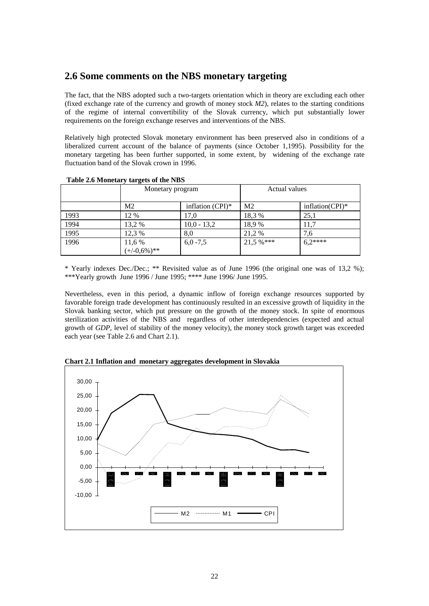# **2.6 Some comments on the NBS monetary targeting**

The fact, that the NBS adopted such a two-targets orientation which in theory are excluding each other (fixed exchange rate of the currency and growth of money stock *M2*), relates to the starting conditions of the regime of internal convertibility of the Slovak currency, which put substantially lower requirements on the foreign exchange reserves and interventions of the NBS.

Relatively high protected Slovak monetary environment has been preserved also in conditions of a liberalized current account of the balance of payments (since October 1,1995). Possibility for the monetary targeting has been further supported, in some extent, by widening of the exchange rate fluctuation band of the Slovak crown in 1996.

|      | Monetary program         |                     | Actual values  |                 |  |  |  |
|------|--------------------------|---------------------|----------------|-----------------|--|--|--|
|      | M <sub>2</sub>           | inflation $(CPI)^*$ | M <sub>2</sub> | inflation(CPI)* |  |  |  |
| 1993 | 12 %                     | 17.0                | 18,3 %         | 25,1            |  |  |  |
| 1994 | 13,2 %                   | $10,0 - 13,2$       | 18,9 %         | 11,7            |  |  |  |
| 1995 | 12,3 %                   | 8,0                 | 21,2 %         | 7,6             |  |  |  |
| 1996 | 11,6 %<br>$(+/0.6\%)$ ** | $6,0 -7,5$          | $21.5 \%$ ***  | $6.2***$        |  |  |  |

 **Table 2.6 Monetary targets of the NBS** 

\* Yearly indexes Dec./Dec.; \*\* Revisited value as of June 1996 (the original one was of 13,2 %); \*\*\*Yearly growth June 1996 / June 1995; \*\*\*\* June 1996/ June 1995.

Nevertheless, even in this period, a dynamic inflow of foreign exchange resources supported by favorable foreign trade development has continuously resulted in an excessive growth of liquidity in the Slovak banking sector, which put pressure on the growth of the money stock. In spite of enormous sterilization activities of the NBS and regardless of other interdependencies (expected and actual growth of *GDP*, level of stability of the money velocity), the money stock growth target was exceeded each year (see Table 2.6 and Chart 2.1).



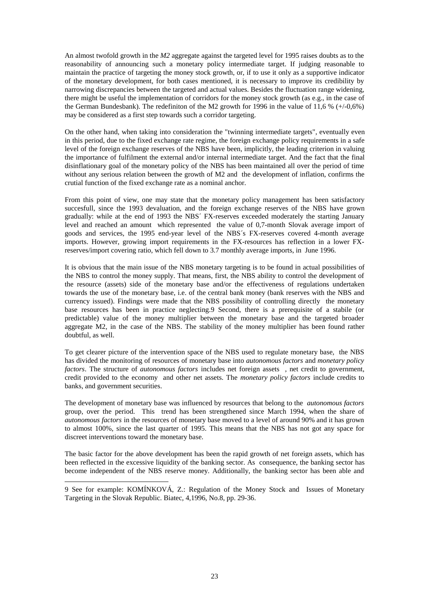An almost twofold growth in the *M2* aggregate against the targeted level for 1995 raises doubts as to the reasonability of announcing such a monetary policy intermediate target. If judging reasonable to maintain the practice of targeting the money stock growth, or, if to use it only as a supportive indicator of the monetary development, for both cases mentioned, it is necessary to improve its credibility by narrowing discrepancies between the targeted and actual values. Besides the fluctuation range widening, there might be useful the implementation of corridors for the money stock growth (as e.g., in the case of the German Bundesbank). The redefiniton of the M2 growth for 1996 in the value of 11,6 % (+/-0,6%) may be considered as a first step towards such a corridor targeting.

On the other hand, when taking into consideration the "twinning intermediate targets", eventually even in this period, due to the fixed exchange rate regime, the foreign exchange policy requirements in a safe level of the foreign exchange reserves of the NBS have been, implicitly, the leading criterion in valuing the importance of fulfilment the external and/or internal intermediate target. And the fact that the final disinflationary goal of the monetary policy of the NBS has been maintained all over the period of time without any serious relation between the growth of M2 and the development of inflation, confirms the crutial function of the fixed exchange rate as a nominal anchor.

From this point of view, one may state that the monetary policy management has been satisfactory succesfull, since the 1993 devaluation, and the foreign exchange reserves of the NBS have grown gradually: while at the end of 1993 the NBS´ FX-reserves exceeded moderately the starting January level and reached an amount which represented the value of 0,7-month Slovak average import of goods and services, the 1995 end-year level of the NBS´s FX-reserves covered 4-month average imports. However, growing import requirements in the FX-resources has reflection in a lower FXreserves/import covering ratio, which fell down to 3.7 monthly average imports, in June 1996.

It is obvious that the main issue of the NBS monetary targeting is to be found in actual possibilities of the NBS to control the money supply. That means, first, the NBS ability to control the development of the resource (assets) side of the monetary base and/or the effectiveness of regulations undertaken towards the use of the monetary base, i.e. of the central bank money (bank reserves with the NBS and currency issued). Findings were made that the NBS possibility of controlling directly the monetary base resources has been in practice neglecting.9 Second, there is a prerequisite of a stabile (or predictable) value of the money multiplier between the monetary base and the targeted broader aggregate M2, in the case of the NBS. The stability of the money multiplier has been found rather doubtful, as well.

To get clearer picture of the intervention space of the NBS used to regulate monetary base, the NBS has divided the monitoring of resources of monetary base into *autonomous factors* and *monetary policy factors*. The structure of *autonomous factors* includes net foreign assets , net credit to government, credit provided to the economy and other net assets. The *monetary policy factors* include credits to banks, and government securities.

The development of monetary base was influenced by resources that belong to the *autonomous factors*  group, over the period. This trend has been strengthened since March 1994, when the share of *autonomous factors* in the resources of monetary base moved to a level of around 90% and it has grown to almost 100%, since the last quarter of 1995. This means that the NBS has not got any space for discreet interventions toward the monetary base.

The basic factor for the above development has been the rapid growth of net foreign assets, which has been reflected in the excessive liquidity of the banking sector. As consequence, the banking sector has become independent of the NBS reserve money. Additionally, the banking sector has been able and

l

<sup>9</sup> See for example: KOMÍNKOVÁ, Z.: Regulation of the Money Stock and Issues of Monetary Targeting in the Slovak Republic. Biatec, 4,1996, No.8, pp. 29-36.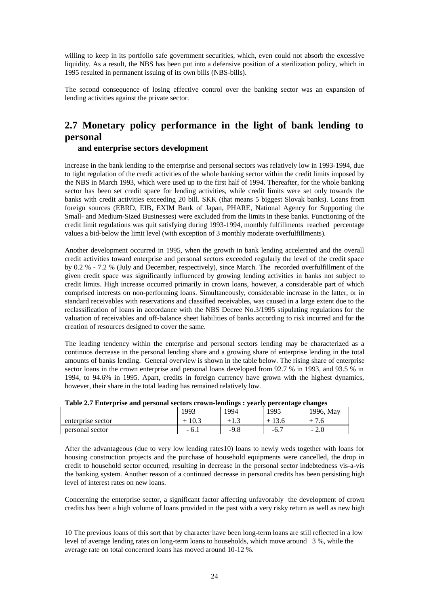willing to keep in its portfolio safe government securities, which, even could not absorb the excessive liquidity. As a result, the NBS has been put into a defensive position of a sterilization policy, which in 1995 resulted in permanent issuing of its own bills (NBS-bills).

The second consequence of losing effective control over the banking sector was an expansion of lending activities against the private sector.

# **2.7 Monetary policy performance in the light of bank lending to personal**

### **and enterprise sectors development**

Increase in the bank lending to the enterprise and personal sectors was relatively low in 1993-1994, due to tight regulation of the credit activities of the whole banking sector within the credit limits imposed by the NBS in March 1993, which were used up to the first half of 1994. Thereafter, for the whole banking sector has been set credit space for lending activities, while credit limits were set only towards the banks with credit activities exceeding 20 bill. SKK (that means 5 biggest Slovak banks). Loans from foreign sources (EBRD, EIB, EXIM Bank of Japan, PHARE, National Agency for Supporting the Small- and Medium-Sized Businesses) were excluded from the limits in these banks. Functioning of the credit limit regulations was quit satisfying during 1993-1994, monthly fulfillments reached percentage values a bid-below the limit level (with exception of 3 monthly moderate overfulfillments).

Another development occurred in 1995, when the growth in bank lending accelerated and the overall credit activities toward enterprise and personal sectors exceeded regularly the level of the credit space by 0.2 % - 7.2 % (July and December, respectively), since March. The recorded overfulfillment of the given credit space was significantly influenced by growing lending activities in banks not subject to credit limits. High increase occurred primarily in crown loans, however, a considerable part of which comprised interests on non-performing loans. Simultaneously, considerable increase in the latter, or in standard receivables with reservations and classified receivables, was caused in a large extent due to the reclassification of loans in accordance with the NBS Decree No.3/1995 stipulating regulations for the valuation of receivables and off-balance sheet liabilities of banks according to risk incurred and for the creation of resources designed to cover the same.

The leading tendency within the enterprise and personal sectors lending may be characterized as a continuos decrease in the personal lending share and a growing share of enterprise lending in the total amounts of banks lending. General overview is shown in the table below. The rising share of enterprise sector loans in the crown enterprise and personal loans developed from 92.7 % in 1993, and 93.5 % in 1994, to 94.6% in 1995. Apart, credits in foreign currency have grown with the highest dynamics, however, their share in the total leading has remained relatively low.

| Table 2.7 Emery prise and personal sectors crown-lengings . vearly percentage enanges |      |        |      |           |
|---------------------------------------------------------------------------------------|------|--------|------|-----------|
|                                                                                       | 1993 | 1994   | 1995 | 1996. May |
| enterprise sector                                                                     | 10.3 | $+1.5$ |      |           |
| personal sector                                                                       |      | -9.8   | -6.  | $-2.0$    |

|  | Table 2.7 Enterprise and personal sectors crown-lendings : yearly percentage changes |
|--|--------------------------------------------------------------------------------------|

After the advantageous (due to very low lending rates10) loans to newly weds together with loans for housing construction projects and the purchase of household equipments were cancelled, the drop in credit to household sector occurred, resulting in decrease in the personal sector indebtedness vis-a-vis the banking system. Another reason of a continued decrease in personal credits has been persisting high level of interest rates on new loans.

Concerning the enterprise sector, a significant factor affecting unfavorably the development of crown credits has been a high volume of loans provided in the past with a very risky return as well as new high

l

<sup>10</sup> The previous loans of this sort that by character have been long-term loans are still reflected in a low level of average lending rates on long-term loans to households, which move around 3 %, while the average rate on total concerned loans has moved around 10-12 %.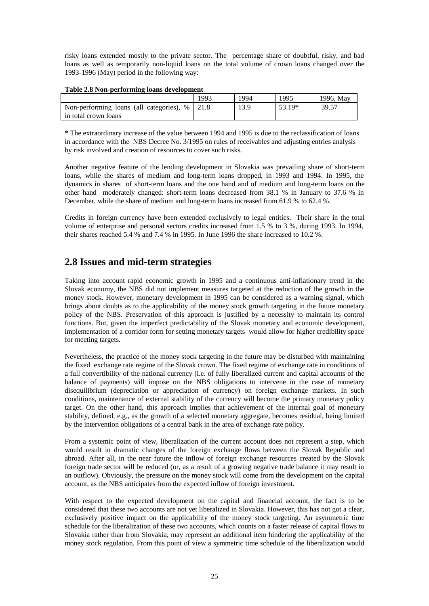risky loans extended mostly to the private sector. The percentage share of doubtful, risky, and bad loans as well as temporarily non-liquid loans on the total volume of crown loans changed over the 1993-1996 (May) period in the following way:

#### **Table 2.8 Non-performing loans development**

|                                          | 1993 | 1994 | 1995   | 1996. May |
|------------------------------------------|------|------|--------|-----------|
| Non-performing loans (all categories), % | 21.8 | 13.9 | 53.19* | 39.57     |
| in total crown loans                     |      |      |        |           |

\* The extraordinary increase of the value between 1994 and 1995 is due to the reclassification of loans in accordance with the NBS Decree No. 3/1995 on rules of receivables and adjusting entries analysis by risk involved and creation of resources to cover such risks.

Another negative feature of the lending development in Slovakia was prevailing share of short-term loans, while the shares of medium and long-term loans dropped, in 1993 and 1994. In 1995, the dynamics in shares of short-term loans and the one hand and of medium and long-term loans on the other hand moderately changed: short-term loans decreased from 38.1 % in January to 37.6 % in December, while the share of medium and long-term loans increased from 61.9 % to 62.4 %.

Credits in foreign currency have been extended exclusively to legal entities. Their share in the total volume of enterprise and personal sectors credits increased from 1.5 % to 3 %, during 1993. In 1994, their shares reached 5.4 % and 7.4 % in 1995. In June 1996 the share increased to 10.2 %.

# **2.8 Issues and mid-term strategies**

Taking into account rapid economic growth in 1995 and a continuous anti-inflationary trend in the Slovak economy, the NBS did not implement measures targeted at the reduction of the growth in the money stock. However, monetary development in 1995 can be considered as a warning signal, which brings about doubts as to the applicability of the money stock growth targeting in the future monetary policy of the NBS. Preservation of this approach is justified by a necessity to maintain its control functions. But, given the imperfect predictability of the Slovak monetary and economic development, implementation of a corridor form for setting monetary targets would allow for higher credibility space for meeting targets.

Nevertheless, the practice of the money stock targeting in the future may be disturbed with maintaining the fixed exchange rate regime of the Slovak crown. The fixed regime of exchange rate in conditions of a full convertibility of the national currency (i.e. of fully liberalized current and capital accounts of the balance of payments) will impose on the NBS obligations to intervene in the case of monetary disequilibrium (depreciation or appreciation of currency) on foreign exchange markets. In such conditions, maintenance of external stability of the currency will become the primary monetary policy target. On the other hand, this approach implies that achievement of the internal goal of monetary stability, defined, e.g., as the growth of a selected monetary aggregate, becomes residual, being limited by the intervention obligations of a central bank in the area of exchange rate policy.

From a systemic point of view, liberalization of the current account does not represent a step, which would result in dramatic changes of the foreign exchange flows between the Slovak Republic and abroad. After all, in the near future the inflow of foreign exchange resources created by the Slovak foreign trade sector will be reduced (or, as a result of a growing negative trade balance it may result in an outflow). Obviously, the pressure on the money stock will come from the development on the capital account, as the NBS anticipates from the expected inflow of foreign investment.

With respect to the expected development on the capital and financial account, the fact is to be considered that these two accounts are not yet liberalized in Slovakia. However, this has not got a clear, exclusively positive impact on the applicability of the money stock targeting. An asymmetric time schedule for the liberalization of these two accounts, which counts on a faster release of capital flows to Slovakia rather than from Slovakia, may represent an additional item hindering the applicability of the money stock regulation. From this point of view a symmetric time schedule of the liberalization would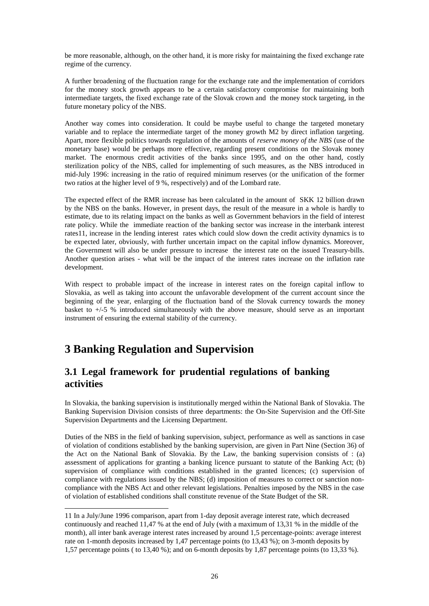be more reasonable, although, on the other hand, it is more risky for maintaining the fixed exchange rate regime of the currency.

A further broadening of the fluctuation range for the exchange rate and the implementation of corridors for the money stock growth appears to be a certain satisfactory compromise for maintaining both intermediate targets, the fixed exchange rate of the Slovak crown and the money stock targeting, in the future monetary policy of the NBS.

Another way comes into consideration. It could be maybe useful to change the targeted monetary variable and to replace the intermediate target of the money growth M2 by direct inflation targeting. Apart, more flexible politics towards regulation of the amounts of *reserve money of the NBS* (use of the monetary base) would be perhaps more effective, regarding present conditions on the Slovak money market. The enormous credit activities of the banks since 1995, and on the other hand, costly sterilization policy of the NBS, called for implementing of such measures, as the NBS introduced in mid-July 1996: increasing in the ratio of required minimum reserves (or the unification of the former two ratios at the higher level of 9 %, respectively) and of the Lombard rate.

The expected effect of the RMR increase has been calculated in the amount of SKK 12 billion drawn by the NBS on the banks. However, in present days, the result of the measure in a whole is hardly to estimate, due to its relating impact on the banks as well as Government behaviors in the field of interest rate policy. While the immediate reaction of the banking sector was increase in the interbank interest rates11, increase in the lending interest rates which could slow down the credit activity dynamics is to be expected later, obviously, with further uncertain impact on the capital inflow dynamics. Moreover, the Government will also be under pressure to increase the interest rate on the issued Treasury-bills. Another question arises - what will be the impact of the interest rates increase on the inflation rate development.

With respect to probable impact of the increase in interest rates on the foreign capital inflow to Slovakia, as well as taking into account the unfavorable development of the current account since the beginning of the year, enlarging of the fluctuation band of the Slovak currency towards the money basket to +/-5 % introduced simultaneously with the above measure, should serve as an important instrument of ensuring the external stability of the currency.

# **3 Banking Regulation and Supervision**

l

# **3.1 Legal framework for prudential regulations of banking activities**

In Slovakia, the banking supervision is institutionally merged within the National Bank of Slovakia. The Banking Supervision Division consists of three departments: the On-Site Supervision and the Off-Site Supervision Departments and the Licensing Department.

Duties of the NBS in the field of banking supervision, subject, performance as well as sanctions in case of violation of conditions established by the banking supervision, are given in Part Nine (Section 36) of the Act on the National Bank of Slovakia. By the Law, the banking supervision consists of : (a) assessment of applications for granting a banking licence pursuant to statute of the Banking Act; (b) supervision of compliance with conditions established in the granted licences; (c) supervision of compliance with regulations issued by the NBS; (d) imposition of measures to correct or sanction noncompliance with the NBS Act and other relevant legislations. Penalties imposed by the NBS in the case of violation of established conditions shall constitute revenue of the State Budget of the SR.

<sup>11</sup> In a July/June 1996 comparison, apart from 1-day deposit average interest rate, which decreased continuously and reached 11,47 % at the end of July (with a maximum of 13,31 % in the middle of the month), all inter bank average interest rates increased by around 1,5 percentage-points: average interest rate on 1-month deposits increased by 1,47 percentage points (to 13,43 %); on 3-month deposits by 1,57 percentage points ( to 13,40 %); and on 6-month deposits by 1,87 percentage points (to 13,33 %).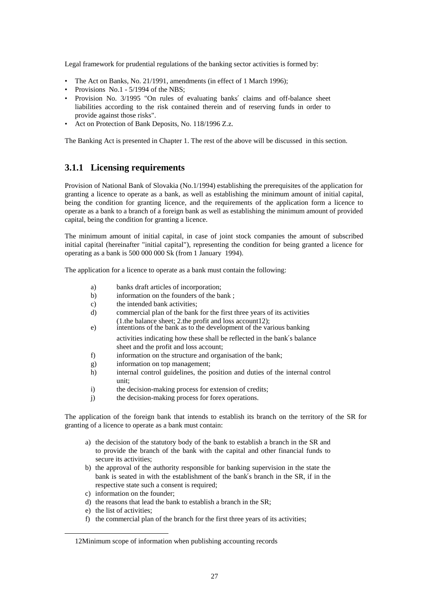Legal framework for prudential regulations of the banking sector activities is formed by:

- The Act on Banks, No. 21/1991, amendments (in effect of 1 March 1996);
- Provisions No.1 5/1994 of the NBS;
- Provision No. 3/1995 "On rules of evaluating banks' claims and off-balance sheet liabilities according to the risk contained therein and of reserving funds in order to provide against those risks".
- Act on Protection of Bank Deposits, No. 118/1996 Z.z.

The Banking Act is presented in Chapter 1. The rest of the above will be discussed in this section.

# **3.1.1 Licensing requirements**

Provision of National Bank of Slovakia (No.1/1994) establishing the prerequisites of the application for granting a licence to operate as a bank, as well as establishing the minimum amount of initial capital, being the condition for granting licence, and the requirements of the application form a licence to operate as a bank to a branch of a foreign bank as well as establishing the minimum amount of provided capital, being the condition for granting a licence.

The minimum amount of initial capital, in case of joint stock companies the amount of subscribed initial capital (hereinafter "initial capital"), representing the condition for being granted a licence for operating as a bank is 500 000 000 Sk (from 1 January 1994).

The application for a licence to operate as a bank must contain the following:

- a) banks draft articles of incorporation;
- b) information on the founders of the bank ;
- c) the intended bank activities;
- d) commercial plan of the bank for the first three years of its activities
- (1.the balance sheet; 2.the profit and loss account12); e) intentions of the bank as to the development of the various banking
	- activities indicating how these shall be reflected in the bank′s balance sheet and the profit and loss account;
	- f) information on the structure and organisation of the bank;
	- g) information on top management;
	- h) internal control guidelines, the position and duties of the internal control unit;
	- i) the decision-making process for extension of credits;
	- j) the decision-making process for forex operations.

The application of the foreign bank that intends to establish its branch on the territory of the SR for granting of a licence to operate as a bank must contain:

- a) the decision of the statutory body of the bank to establish a branch in the SR and to provide the branch of the bank with the capital and other financial funds to secure its activities;
- b) the approval of the authority responsible for banking supervision in the state the bank is seated in with the establishment of the bank′s branch in the SR, if in the respective state such a consent is required;
- c) information on the founder;
- d) the reasons that lead the bank to establish a branch in the SR;
- e) the list of activities;

l

f) the commercial plan of the branch for the first three years of its activities;

<sup>12</sup>Minimum scope of information when publishing accounting records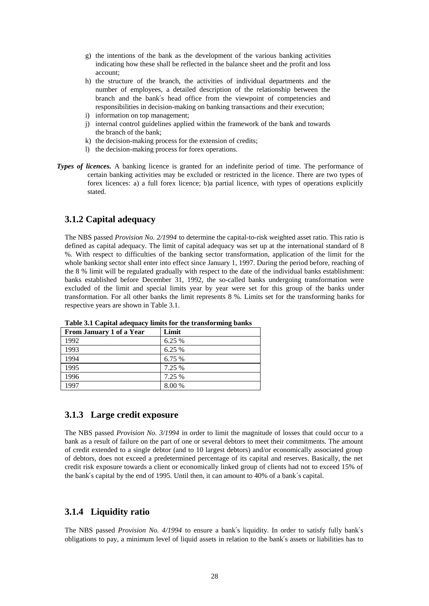- g) the intentions of the bank as the development of the various banking activities indicating how these shall be reflected in the balance sheet and the profit and loss account;
- h) the structure of the branch, the activities of individual departments and the number of employees, a detailed description of the relationship between the branch and the bank′s head office from the viewpoint of competencies and responsibilities in decision-making on banking transactions and their execution;
- i) information on top management;
- j) internal control guidelines applied within the framework of the bank and towards the branch of the bank;
- k) the decision-making process for the extension of credits;
- l) the decision-making process for forex operations.
- *Types of licences.* A banking licence is granted for an indefinite period of time. The performance of certain banking activities may be excluded or restricted in the licence. There are two types of forex licences: a) a full forex licence; b)a partial licence, with types of operations explicitly stated.

### **3.1.2 Capital adequacy**

The NBS passed *Provision No. 2/1994* to determine the capital-to-risk weighted asset ratio. This ratio is defined as capital adequacy. The limit of capital adequacy was set up at the international standard of 8 %. With respect to difficulties of the banking sector transformation, application of the limit for the whole banking sector shall enter into effect since January 1, 1997. During the period before, reaching of the 8 % limit will be regulated gradually with respect to the date of the individual banks establishment: banks established before December 31, 1992, the so-called banks undergoing transformation were excluded of the limit and special limits year by year were set for this group of the banks under transformation. For all other banks the limit represents 8 %. Limits set for the transforming banks for respective years are shown in Table 3.1.

| From January 1 of a Year | Limit  |
|--------------------------|--------|
| 1992                     | 6.25 % |
| 1993                     | 6.25 % |
| 1994                     | 6.75 % |
| 1995                     | 7.25 % |
| 1996                     | 7.25 % |
| 1997                     | 8.00 % |

**Table 3.1 Capital adequacy limits for the transforming banks** 

### **3.1.3 Large credit exposure**

The NBS passed *Provision No. 3/1994* in order to limit the magnitude of losses that could occur to a bank as a result of failure on the part of one or several debtors to meet their commitments. The amount of credit extended to a single debtor (and to 10 largest debtors) and/or economically associated group of debtors, does not exceed a predetermined percentage of its capital and reserves. Basically, the net credit risk exposure towards a client or economically linked group of clients had not to exceed 15% of the bank′s capital by the end of 1995. Until then, it can amount to 40% of a bank′s capital.

### **3.1.4 Liquidity ratio**

The NBS passed *Provision No. 4/1994* to ensure a bank′s liquidity. In order to satisfy fully bank′s obligations to pay, a minimum level of liquid assets in relation to the bank′s assets or liabilities has to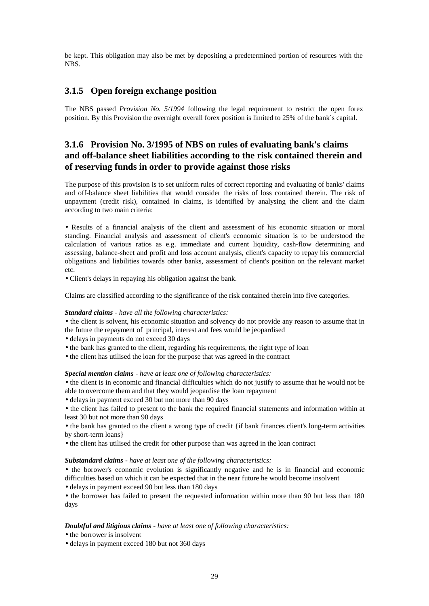be kept. This obligation may also be met by depositing a predetermined portion of resources with the NBS.

### **3.1.5 Open foreign exchange position**

The NBS passed *Provision No. 5/1994* following the legal requirement to restrict the open forex position. By this Provision the overnight overall forex position is limited to 25% of the bank′s capital.

# **3.1.6 Provision No. 3/1995 of NBS on rules of evaluating bank's claims and off-balance sheet liabilities according to the risk contained therein and of reserving funds in order to provide against those risks**

The purpose of this provision is to set uniform rules of correct reporting and evaluating of banks' claims and off-balance sheet liabilities that would consider the risks of loss contained therein. The risk of unpayment (credit risk), contained in claims, is identified by analysing the client and the claim according to two main criteria:

• Results of a financial analysis of the client and assessment of his economic situation or moral standing. Financial analysis and assessment of client's economic situation is to be understood the calculation of various ratios as e.g. immediate and current liquidity, cash-flow determining and assessing, balance-sheet and profit and loss account analysis, client's capacity to repay his commercial obligations and liabilities towards other banks, assessment of client's position on the relevant market etc.

• Client's delays in repaying his obligation against the bank.

Claims are classified according to the significance of the risk contained therein into five categories.

#### *Standard claims - have all the following characteristics:*

• the client is solvent, his economic situation and solvency do not provide any reason to assume that in the future the repayment of principal, interest and fees would be jeopardised

- delays in payments do not exceed 30 days
- the bank has granted to the client, regarding his requirements, the right type of loan
- the client has utilised the loan for the purpose that was agreed in the contract

#### *Special mention claims - have at least one of following characteristics:*

• the client is in economic and financial difficulties which do not justify to assume that he would not be able to overcome them and that they would jeopardise the loan repayment

• delays in payment exceed 30 but not more than 90 days

• the client has failed to present to the bank the required financial statements and information within at least 30 but not more than 90 days

• the bank has granted to the client a wrong type of credit {if bank finances client's long-term activities by short-term loans}

• the client has utilised the credit for other purpose than was agreed in the loan contract

#### *Substandard claims - have at least one of the following characteristics:*

• the borower's economic evolution is significantly negative and he is in financial and economic difficulties based on which it can be expected that in the near future he would become insolvent

• delays in payment exceed 90 but less than 180 days

• the borrower has failed to present the requested information within more than 90 but less than 180 days

#### *Doubtful and litigious claims - have at least one of following characteristics:*

- the borrower is insolvent
- delays in payment exceed 180 but not 360 days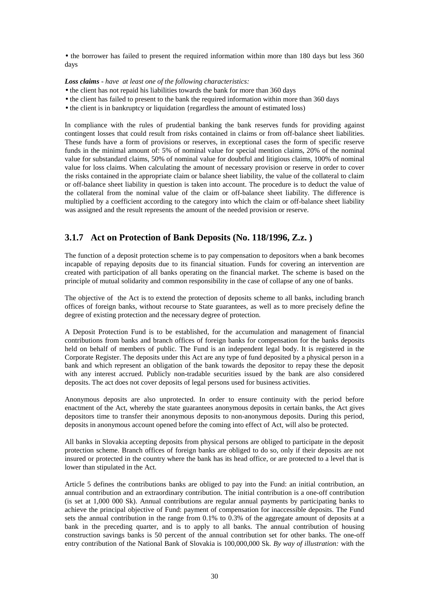• the borrower has failed to present the required information within more than 180 days but less 360 days

#### *Loss claims - have at least one of the following characteristics:*

- the client has not repaid his liabilities towards the bank for more than 360 days
- the client has failed to present to the bank the required information within more than 360 days
- the client is in bankruptcy or liquidation {regardless the amount of estimated loss}

In compliance with the rules of prudential banking the bank reserves funds for providing against contingent losses that could result from risks contained in claims or from off-balance sheet liabilities. These funds have a form of provisions or reserves, in exceptional cases the form of specific reserve funds in the minimal amount of: 5% of nominal value for special mention claims, 20% of the nominal value for substandard claims, 50% of nominal value for doubtful and litigious claims, 100% of nominal value for loss claims. When calculating the amount of necessary provision or reserve in order to cover the risks contained in the appropriate claim or balance sheet liability, the value of the collateral to claim or off-balance sheet liability in question is taken into account. The procedure is to deduct the value of the collateral from the nominal value of the claim or off-balance sheet liability. The difference is multiplied by a coefficient according to the category into which the claim or off-balance sheet liability was assigned and the result represents the amount of the needed provision or reserve.

# **3.1.7 Act on Protection of Bank Deposits (No. 118/1996, Z.z. )**

The function of a deposit protection scheme is to pay compensation to depositors when a bank becomes incapable of repaying deposits due to its financial situation. Funds for covering an intervention are created with participation of all banks operating on the financial market. The scheme is based on the principle of mutual solidarity and common responsibility in the case of collapse of any one of banks.

The objective of the Act is to extend the protection of deposits scheme to all banks, including branch offices of foreign banks, without recourse to State guarantees, as well as to more precisely define the degree of existing protection and the necessary degree of protection.

A Deposit Protection Fund is to be established, for the accumulation and management of financial contributions from banks and branch offices of foreign banks for compensation for the banks deposits held on behalf of members of public. The Fund is an independent legal body. It is registered in the Corporate Register. The deposits under this Act are any type of fund deposited by a physical person in a bank and which represent an obligation of the bank towards the depositor to repay these the deposit with any interest accrued. Publicly non-tradable securities issued by the bank are also considered deposits. The act does not cover deposits of legal persons used for business activities.

Anonymous deposits are also unprotected. In order to ensure continuity with the period before enactment of the Act, whereby the state guarantees anonymous deposits in certain banks, the Act gives depositors time to transfer their anonymous deposits to non-anonymous deposits. During this period, deposits in anonymous account opened before the coming into effect of Act, will also be protected.

All banks in Slovakia accepting deposits from physical persons are obliged to participate in the deposit protection scheme. Branch offices of foreign banks are obliged to do so, only if their deposits are not insured or protected in the country where the bank has its head office, or are protected to a level that is lower than stipulated in the Act.

Article 5 defines the contributions banks are obliged to pay into the Fund: an initial contribution, an annual contribution and an extraordinary contribution. The initial contribution is a one-off contribution (is set at 1,000 000 Sk). Annual contributions are regular annual payments by participating banks to achieve the principal objective of Fund: payment of compensation for inaccessible deposits. The Fund sets the annual contribution in the range from 0.1% to 0.3% of the aggregate amount of deposits at a bank in the preceding quarter, and is to apply to all banks. The annual contribution of housing construction savings banks is 50 percent of the annual contribution set for other banks. The one-off entry contribution of the National Bank of Slovakia is 100,000,000 Sk. *By way of illustration:* with the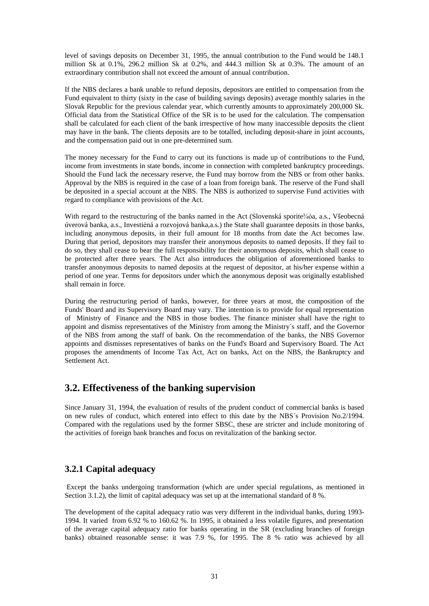level of savings deposits on December 31, 1995, the annual contribution to the Fund would be 148.1 million Sk at 0.1%, 296.2 million Sk at 0.2%, and 444.3 million Sk at 0.3%. The amount of an extraordinary contribution shall not exceed the amount of annual contribution.

If the NBS declares a bank unable to refund deposits, depositors are entitled to compensation from the Fund equivalent to thirty (sixty in the case of building savings deposits) average monthly salaries in the Slovak Republic for the previous calendar year, which currently amounts to approximately 200,000 Sk. Official data from the Statistical Office of the SR is to be used for the calculation. The compensation shall be calculated for each client of the bank irrespective of how many inaccessible deposits the client may have in the bank. The clients deposits are to be totalled, including deposit-share in joint accounts, and the compensation paid out in one pre-determined sum.

The money necessary for the Fund to carry out its functions is made up of contributions to the Fund, income from investments in state bonds, income in connection with completed bankruptcy proceedings. Should the Fund lack the necessary reserve, the Fund may borrow from the NBS or from other banks. Approval by the NBS is required in the case of a loan from foreign bank. The reserve of the Fund shall be deposited in a special account at the NBS. The NBS is authorized to supervise Fund activities with regard to compliance with provisions of the Act.

With regard to the restructuring of the banks named in the Act (Slovenská sporite¾òa, a.s., Všeobecná úverová banka, a.s., Investièná a rozvojová banka,a.s.) the State shall guarantee deposits in those banks, including anonymous deposits, in their full amount for 18 months from date the Act becomes law. During that period, depositors may transfer their anonymous deposits to named deposits. If they fail to do so, they shall cease to bear the full responsibility for their anonymous deposits, which shall cease to be protected after three years. The Act also introduces the obligation of aforementioned banks to transfer anonymous deposits to named deposits at the request of depositor, at his/her expense within a period of one year. Terms for depositors under which the anonymous deposit was originally established shall remain in force.

During the restructuring period of banks, however, for three years at most, the composition of the Funds' Board and its Supervisory Board may vary. The intention is to provide for equal representation of Ministry of Finance and the NBS in those bodies. The finance minister shall have the right to appoint and dismiss representatives of the Ministry from among the Ministry´s staff, and the Governor of the NBS from among the staff of bank. On the recommendation of the banks, the NBS Governor appoints and dismisses representatives of banks on the Fund's Board and Supervisory Board. The Act proposes the amendments of Income Tax Act, Act on banks, Act on the NBS, the Bankruptcy and Settlement Act.

# **3.2. Effectiveness of the banking supervision**

Since January 31, 1994, the evaluation of results of the prudent conduct of commercial banks is based on new rules of conduct, which entered into effect to this date by the NBS´s Provision No.2/1994. Compared with the regulations used by the former SBSC, these are stricter and include monitoring of the activities of foreign bank branches and focus on revitalization of the banking sector.

# **3.2.1 Capital adequacy**

 Except the banks undergoing transformation (which are under special regulations, as mentioned in Section 3.1.2), the limit of capital adequacy was set up at the international standard of 8 %.

The development of the capital adequacy ratio was very different in the individual banks, during 1993- 1994. It varied from 6.92 % to 160.62 %. In 1995, it obtained a less volatile figures, and presentation of the average capital adequacy ratio for banks operating in the SR (excluding branches of foreign banks) obtained reasonable sense: it was 7.9 %, for 1995. The 8 % ratio was achieved by all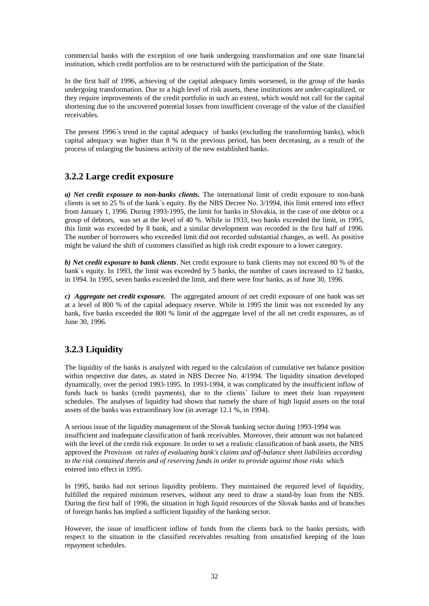commercial banks with the exception of one bank undergoing transformation and one state financial institution, which credit portfolios are to be restructured with the participation of the State.

In the first half of 1996, achieving of the capital adequacy limits worsened, in the group of the banks undergoing transformation. Due to a high level of risk assets, these institutions are under-capitalized, or they require improvements of the credit portfolio in such an extent, which would not call for the capital shortening due to the uncovered potential losses from insufficient coverage of the value of the classified receivables.

The present 1996´s trend in the capital adequacy of banks (excluding the transforming banks), which capital adequacy was higher than 8 % in the previous period, has been decreasing, as a result of the process of enlarging the business activity of the new established banks.

# **3.2.2 Large credit exposure**

*a) Net credit exposure to non-banks clients.* The international limit of credit exposure to non-bank clients is set to 25 % of the bank´s equity. By the NBS Decree No. 3/1994, this limit entered into effect from January 1, 1996. During 1993-1995, the limit for banks in Slovakia, in the case of one debtor or a group of debtors, was set at the level of 40 %. While in 1933, two banks exceeded the limit, in 1995, this limit was exceeded by 8 bank, and a similar development was recorded in the first half of 1996. The number of borrowers who exceeded limit did not recorded substantial changes, as well. As positive might be valued the shift of customers classified as high risk credit exposure to a lower category.

*b) Net credit exposure to bank clients*. Net credit exposure to bank clients may not exceed 80 % of the bank´s equity. In 1993, the limit was exceeded by 5 banks, the number of cases increased to 12 banks, in 1994. In 1995, seven banks exceeded the limit, and there were four banks, as of June 30, 1996.

*c) Aggregate net credit exposure.* The aggregated amount of net credit exposure of one bank was set at a level of 800 % of the capital adequacy reserve. While in 1995 the limit was not exceeded by any bank, five banks exceeded the 800 % limit of the aggregate level of the all net credit exposures, as of June 30, 1996.

# **3.2.3 Liquidity**

The liquidity of the banks is analyzed with regard to the calculation of cumulative net balance position within respective due dates, as stated in NBS Decree No. 4/1994. The liquidity situation developed dynamically, over the period 1993-1995. In 1993-1994, it was complicated by the insufficient inflow of funds back to banks (credit payments), due to the clients´ failure to meet their loan repayment schedules. The analyses of liquidity had shown that namely the share of high liquid assets on the total assets of the banks was extraordinary low (in average 12.1 %, in 1994).

A serious issue of the liquidity management of the Slovak banking sector during 1993-1994 was insufficient and inadequate classification of bank receivables. Moreover, their amount was not balanced with the level of the credit risk exposure. In order to set a realistic classification of bank assets, the NBS approved the *Provision on rules of evaluating bank's claims and off-balance sheet liabilities according to the risk contained therein and of reserving funds in order to provide against those risks* which entered into effect in 1995.

In 1995, banks had not serious liquidity problems. They maintained the required level of liquidity, fulfilled the required minimum reserves, without any need to draw a stand-by loan from the NBS. During the first half of 1996, the situation in high liquid resources of the Slovak banks and of branches of foreign banks has implied a sufficient liquidity of the banking sector.

However, the issue of insufficient inflow of funds from the clients back to the banks persists, with respect to the situation in the classified receivables resulting from unsatisfied keeping of the loan repayment schedules.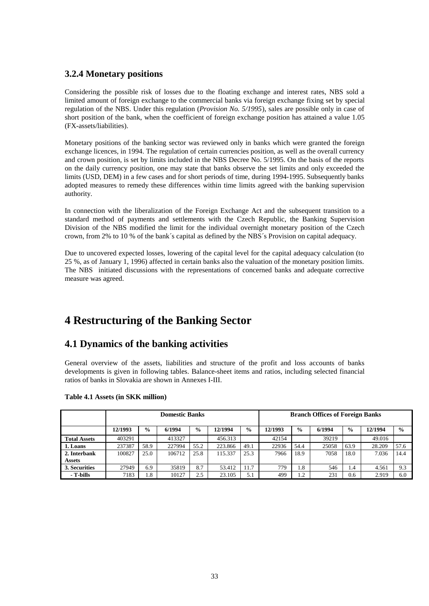# **3.2.4 Monetary positions**

Considering the possible risk of losses due to the floating exchange and interest rates, NBS sold a limited amount of foreign exchange to the commercial banks via foreign exchange fixing set by special regulation of the NBS. Under this regulation (*Provision No. 5/1995*), sales are possible only in case of short position of the bank, when the coefficient of foreign exchange position has attained a value 1.05 (FX-assets/liabilities).

Monetary positions of the banking sector was reviewed only in banks which were granted the foreign exchange licences, in 1994. The regulation of certain currencies position, as well as the overall currency and crown position, is set by limits included in the NBS Decree No. 5/1995. On the basis of the reports on the daily currency position, one may state that banks observe the set limits and only exceeded the limits (USD, DEM) in a few cases and for short periods of time, during 1994-1995. Subsequently banks adopted measures to remedy these differences within time limits agreed with the banking supervision authority.

In connection with the liberalization of the Foreign Exchange Act and the subsequent transition to a standard method of payments and settlements with the Czech Republic, the Banking Supervision Division of the NBS modified the limit for the individual overnight monetary position of the Czech crown, from 2% to 10 % of the bank´s capital as defined by the NBS´s Provision on capital adequacy.

Due to uncovered expected losses, lowering of the capital level for the capital adequacy calculation (to 25 %, as of January 1, 1996) affected in certain banks also the valuation of the monetary position limits. The NBS initiated discussions with the representations of concerned banks and adequate corrective measure was agreed.

# **4 Restructuring of the Banking Sector**

# **4.1 Dynamics of the banking activities**

General overview of the assets, liabilities and structure of the profit and loss accounts of banks developments is given in following tables. Balance-sheet items and ratios, including selected financial ratios of banks in Slovakia are shown in Annexes I-III.

|                     |         |               | <b>Domestic Banks</b> |               |         | <b>Branch Offices of Foreign Banks</b> |         |               |        |               |         |               |
|---------------------|---------|---------------|-----------------------|---------------|---------|----------------------------------------|---------|---------------|--------|---------------|---------|---------------|
|                     | 12/1993 | $\frac{6}{9}$ | 6/1994                | $\frac{0}{0}$ | 12/1994 | $\frac{6}{9}$                          | 12/1993 | $\frac{0}{0}$ | 6/1994 | $\frac{0}{0}$ | 12/1994 | $\frac{0}{0}$ |
| <b>Total Assets</b> | 403291  |               | 413327                |               | 456.313 |                                        | 42154   |               | 39219  |               | 49.016  |               |
| 1. Loans            | 237387  | 58.9          | 227994                | 55.2          | 223.866 | 49.1                                   | 22936   | 54.4          | 25058  | 63.9          | 28.209  | 57.6          |
| 2. Interbank        | 100827  | 25.0          | 106712                | 25.8          | 115.337 | 25.3                                   | 7966    | 18.9          | 7058   | 18.0          | 7.036   | 14.4          |
| <b>Assets</b>       |         |               |                       |               |         |                                        |         |               |        |               |         |               |
| 3. Securities       | 27949   | 6.9           | 35819                 | 8.7           | 53.412  | 11.7                                   | 779     | 1.8           | 546    | 1.4           | 4.561   | 9.3           |
| - T-bills           | 7183    | 1.8           | 10127                 | 2.5           | 23.105  | 5.1                                    | 499     | 1.2           | 231    | 0.6           | 2.919   | 6.0           |

#### **Table 4.1 Assets (in SKK million)**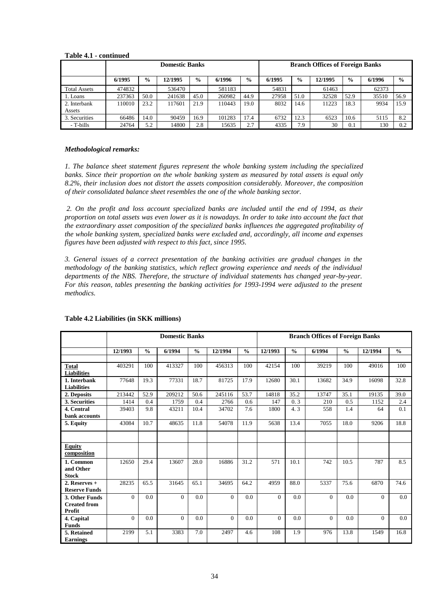#### **Table 4.1 - continued**

|                     |        | <b>Branch Offices of Foreign Banks</b> |         |               |        |               |        |               |         |               |        |               |
|---------------------|--------|----------------------------------------|---------|---------------|--------|---------------|--------|---------------|---------|---------------|--------|---------------|
|                     | 6/1995 | $\frac{6}{9}$                          | 12/1995 | $\frac{0}{0}$ | 6/1996 | $\frac{0}{0}$ | 6/1995 | $\frac{6}{9}$ | 12/1995 | $\frac{6}{9}$ | 6/1996 | $\frac{6}{9}$ |
| <b>Total Assets</b> | 474832 |                                        | 536470  |               | 581183 |               | 54831  |               | 61463   |               | 62373  |               |
| 1. Loans            | 237363 | 50.0                                   | 241638  | 45.0          | 260982 | 44.9          | 27958  | 51.0          | 32528   | 52.9          | 35510  | 56.9          |
| 2. Interbank        | 110010 | 23.2                                   | 117601  | 21.9          | 110443 | 19.0          | 8032   | 14.6          | 11223   | 18.3          | 9934   | 15.9          |
| Assets              |        |                                        |         |               |        |               |        |               |         |               |        |               |
| 3. Securities       | 66486  | 14.0                                   | 90459   | 16.9          | 101283 | 17.4          | 6732   | 12.3          | 6523    | 10.6          | 5115   | 8.2           |
| - T-bills           | 24764  | 5.2                                    | 14800   | 2.8           | 5635   | 2.7           | 4335   | 7.9           | 30      | 0.1           | 130    | 0.2           |

#### *Methodological remarks:*

*1. The balance sheet statement figures represent the whole banking system including the specialized banks. Since their proportion on the whole banking system as measured by total assets is equal only 8.2%, their inclusion does not distort the assets composition considerably. Moreover, the composition of their consolidated balance sheet resembles the one of the whole banking sector.* 

 *2. On the profit and loss account specialized banks are included until the end of 1994, as their*  proportion on total assets was even lower as it is nowadays. In order to take into account the fact that *the extraordinary asset composition of the specialized banks influences the aggregated profitability of the whole banking system, specialized banks were excluded and, accordingly, all income and expenses figures have been adjusted with respect to this fact, since 1995.* 

*3. General issues of a correct presentation of the banking activities are gradual changes in the methodology of the banking statistics, which reflect growing experience and needs of the individual departments of the NBS. Therefore, the structure of individual statements has changed year-by-year. For this reason, tables presenting the banking activities for 1993-1994 were adjusted to the present methodics.* 

|                              |          |               | <b>Domestic Banks</b> |               |          |               |          |               | <b>Branch Offices of Foreign Banks</b> |               |          |               |
|------------------------------|----------|---------------|-----------------------|---------------|----------|---------------|----------|---------------|----------------------------------------|---------------|----------|---------------|
|                              | 12/1993  | $\frac{0}{0}$ | 6/1994                | $\frac{0}{0}$ | 12/1994  | $\frac{0}{0}$ | 12/1993  | $\frac{0}{0}$ | 6/1994                                 | $\frac{0}{0}$ | 12/1994  | $\frac{0}{0}$ |
|                              |          |               |                       |               |          |               |          |               |                                        |               |          |               |
| <b>Total</b>                 | 403291   | 100           | 413327                | 100           | 456313   | 100           | 42154    | 100           | 39219                                  | 100           | 49016    | 100           |
| <b>Liabilities</b>           |          |               |                       |               |          |               |          |               |                                        |               |          |               |
| 1. Interbank                 | 77648    | 19.3          | 77331                 | 18.7          | 81725    | 17.9          | 12680    | 30.1          | 13682                                  | 34.9          | 16098    | 32.8          |
| <b>Liabilities</b>           |          |               |                       |               |          |               |          |               |                                        |               |          |               |
| 2. Deposits                  | 213442   | 52.9          | 209212                | 50.6          | 245116   | 53.7          | 14818    | 35.2          | 13747                                  | 35.1          | 19135    | 39.0          |
| 3. Securities                | 1414     | 0.4           | 1759                  | 0.4           | 2766     | 0.6           | 147      | 0.3           | 210                                    | 0.5           | 1152     | 2.4           |
| 4. Central                   | 39403    | 9.8           | 43211                 | 10.4          | 34702    | 7.6           | 1800     | 4.3           | 558                                    | 1.4           | 64       | 0.1           |
| bank accounts                |          |               |                       |               |          |               |          |               |                                        |               |          |               |
| 5. Equity                    | 43084    | 10.7          | 48635                 | 11.8          | 54078    | 11.9          | 5638     | 13.4          | 7055                                   | 18.0          | 9206     | 18.8          |
|                              |          |               |                       |               |          |               |          |               |                                        |               |          |               |
| <b>Equity</b><br>composition |          |               |                       |               |          |               |          |               |                                        |               |          |               |
| 1. Common                    | 12650    | 29.4          | 13607                 | 28.0          | 16886    | 31.2          | 571      | 10.1          | 742                                    | 10.5          | 787      | 8.5           |
| and Other                    |          |               |                       |               |          |               |          |               |                                        |               |          |               |
| <b>Stock</b>                 |          |               |                       |               |          |               |          |               |                                        |               |          |               |
| 2. Reserves $+$              | 28235    | 65.5          | 31645                 | 65.1          | 34695    | 64.2          | 4959     | 88.0          | 5337                                   | 75.6          | 6870     | 74.6          |
| <b>Reserve Funds</b>         |          |               |                       |               |          |               |          |               |                                        |               |          |               |
| 3. Other Funds               | $\theta$ | 0.0           | $\Omega$              | 0.0           | $\Omega$ | 0.0           | $\Omega$ | 0.0           | $\Omega$                               | 0.0           | $\Omega$ | 0.0           |
| <b>Created from</b>          |          |               |                       |               |          |               |          |               |                                        |               |          |               |
| Profit                       |          |               |                       |               |          |               |          |               |                                        |               |          |               |
| 4. Capital                   | $\theta$ | 0.0           | $\Omega$              | 0.0           | $\Omega$ | 0.0           | $\Omega$ | 0.0           | $\Omega$                               | 0.0           | $\Omega$ | 0.0           |
| <b>Funds</b>                 |          |               |                       |               |          |               |          |               |                                        |               |          |               |
| 5. Retained                  | 2199     | 5.1           | 3383                  | 7.0           | 2497     | 4.6           | 108      | 1.9           | 976                                    | 13.8          | 1549     | 16.8          |
| <b>Earnings</b>              |          |               |                       |               |          |               |          |               |                                        |               |          |               |

#### **Table 4.2 Liabilities (in SKK millions)**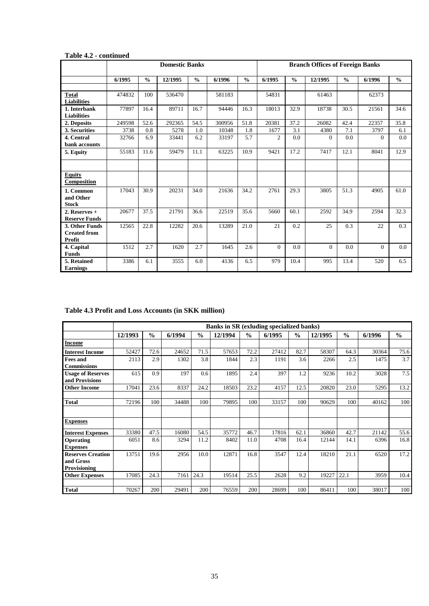### **Table 4.2 - continued**

|                                                 |        |               | <b>Domestic Banks</b> |               |        |               |                |               | <b>Branch Offices of Foreign Banks</b> |               |          |               |
|-------------------------------------------------|--------|---------------|-----------------------|---------------|--------|---------------|----------------|---------------|----------------------------------------|---------------|----------|---------------|
|                                                 | 6/1995 | $\frac{0}{0}$ | 12/1995               | $\frac{0}{0}$ | 6/1996 | $\frac{0}{0}$ | 6/1995         | $\frac{0}{0}$ | 12/1995                                | $\frac{0}{0}$ | 6/1996   | $\frac{0}{0}$ |
|                                                 |        |               |                       |               |        |               |                |               |                                        |               |          |               |
| Total<br><b>Liabilities</b>                     | 474832 | 100           | 536470                |               | 581183 |               | 54831          |               | 61463                                  |               | 62373    |               |
| 1. Interbank<br><b>Liabilities</b>              | 77897  | 16.4          | 89711                 | 16.7          | 94446  | 16.3          | 18013          | 32.9          | 18738                                  | 30.5          | 21561    | 34.6          |
| 2. Deposits                                     | 249598 | 52.6          | 292365                | 54.5          | 300956 | 51.8          | 20381          | 37.2          | 26082                                  | 42.4          | 22357    | 35.8          |
| 3. Securities                                   | 3738   | 0.8           | 5278                  | 1.0           | 10348  | 1.8           | 1677           | 3.1           | 4380                                   | 7.1           | 3797     | 6.1           |
| 4. Central                                      | 32766  | 6.9           | 33441                 | 6.2           | 33197  | 5.7           | $\overline{2}$ | 0.0           | $\Omega$                               | 0.0           | $\Omega$ | 0.0           |
| bank accounts                                   |        |               |                       |               |        |               |                |               |                                        |               |          |               |
| 5. Equity                                       | 55183  | 11.6          | 59479                 | 11.1          | 63225  | 10.9          | 9421           | 17.2          | 7417                                   | 12.1          | 8041     | 12.9          |
|                                                 |        |               |                       |               |        |               |                |               |                                        |               |          |               |
| <b>Equity</b><br>Composition                    |        |               |                       |               |        |               |                |               |                                        |               |          |               |
| 1. Common<br>and Other<br><b>Stock</b>          | 17043  | 30.9          | 20231                 | 34.0          | 21636  | 34.2          | 2761           | 29.3          | 3805                                   | 51.3          | 4905     | 61.0          |
| 2. Reserves +<br><b>Reserve Funds</b>           | 20677  | 37.5          | 21791                 | 36.6          | 22519  | 35.6          | 5660           | 60.1          | 2592                                   | 34.9          | 2594     | 32.3          |
| 3. Other Funds<br><b>Created from</b><br>Profit | 12565  | 22.8          | 12282                 | 20.6          | 13289  | 21.0          | 21             | 0.2           | 25                                     | 0.3           | 22       | 0.3           |
| 4. Capital<br><b>Funds</b>                      | 1512   | 2.7           | 1620                  | 2.7           | 1645   | 2.6           | $\Omega$       | 0.0           | $\Omega$                               | 0.0           | $\Omega$ | 0.0           |
| 5. Retained<br><b>Earnings</b>                  | 3386   | 6.1           | 3555                  | 6.0           | 4136   | 6.5           | 979            | 10.4          | 995                                    | 13.4          | 520      | 6.5           |

# **Table 4.3 Profit and Loss Accounts (in SKK million)**

|                                       |         |               |        |               | <b>Banks in SR (exluding specialized banks)</b> |               |        |               |         |               |        |               |
|---------------------------------------|---------|---------------|--------|---------------|-------------------------------------------------|---------------|--------|---------------|---------|---------------|--------|---------------|
|                                       | 12/1993 | $\frac{0}{0}$ | 6/1994 | $\frac{0}{0}$ | 12/1994                                         | $\frac{0}{0}$ | 6/1995 | $\frac{0}{0}$ | 12/1995 | $\frac{0}{0}$ | 6/1996 | $\frac{0}{0}$ |
| <b>Income</b>                         |         |               |        |               |                                                 |               |        |               |         |               |        |               |
| <b>Interest Income</b>                | 52427   | 72.6          | 24652  | 71.5          | 57653                                           | 72.2          | 27412  | 82.7          | 58307   | 64.3          | 30364  | 75.6          |
| <b>Fees and</b>                       | 2113    | 2.9           | 1302   | 3.8           | 1844                                            | 2.3           | 1191   | 3.6           | 2266    | 2.5           | 1475   | 3.7           |
| <b>Commissions</b>                    |         |               |        |               |                                                 |               |        |               |         |               |        |               |
| <b>Usage of Reserves</b>              | 615     | 0.9           | 197    | 0.6           | 1895                                            | 2.4           | 397    | 1.2           | 9236    | 10.2          | 3028   | 7.5           |
| and Provisions                        |         |               |        |               |                                                 |               |        |               |         |               |        |               |
| <b>Other Income</b>                   | 17041   | 23.6          | 8337   | 24.2          | 18503                                           | 23.2          | 4157   | 12.5          | 20820   | 23.0          | 5295   | 13.2          |
|                                       |         |               |        |               |                                                 |               |        |               |         |               |        |               |
| <b>Total</b>                          | 72196   | 100           | 34488  | 100           | 79895                                           | 100           | 33157  | 100           | 90629   | 100           | 40162  | 100           |
|                                       |         |               |        |               |                                                 |               |        |               |         |               |        |               |
| <b>Expenses</b>                       |         |               |        |               |                                                 |               |        |               |         |               |        |               |
| <b>Interest Expenses</b>              | 33380   | 47.5          | 16080  | 54.5          | 35772                                           | 46.7          | 17816  | 62.1          | 36860   | 42.7          | 21142  | 55.6          |
| Operating<br><b>Expenses</b>          | 6051    | 8.6           | 3294   | 11.2          | 8402                                            | 11.0          | 4708   | 16.4          | 12144   | 14.1          | 6396   | 16.8          |
| <b>Reserves Creation</b><br>and Gross | 13751   | 19.6          | 2956   | 10.0          | 12871                                           | 16.8          | 3547   | 12.4          | 18210   | 21.1          | 6520   | 17.2          |
| Provisioning                          |         |               |        |               |                                                 |               |        |               |         |               |        |               |
| <b>Other Expenses</b>                 | 17085   | 24.3          | 7161   | 24.3          | 19514                                           | 25.5          | 2628   | 9.2           | 19227   | 22.1          | 3959   | 10.4          |
|                                       |         |               |        |               |                                                 |               |        |               |         |               |        |               |
| <b>Total</b>                          | 70267   | 200           | 29491  | 200           | 76559                                           | 200           | 28699  | 100           | 86411   | 100           | 38017  | 100           |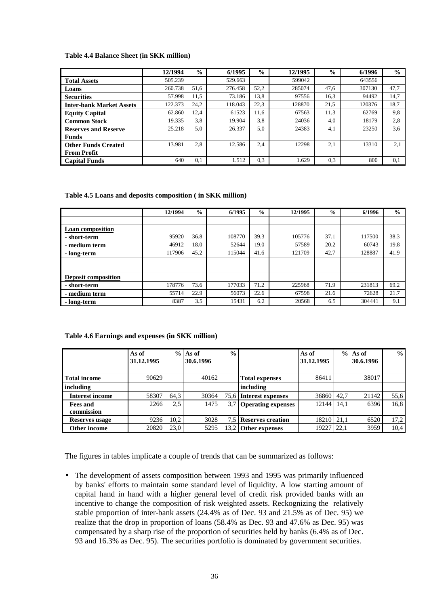#### **Table 4.4 Balance Sheet (in SKK million)**

|                                 | 12/1994 | $\frac{6}{9}$ | 6/1995  | $\frac{6}{6}$ | 12/1995 | $\frac{0}{0}$ | 6/1996 | $\frac{1}{2}$ |
|---------------------------------|---------|---------------|---------|---------------|---------|---------------|--------|---------------|
| <b>Total Assets</b>             | 505.239 |               | 529.663 |               | 599042  |               | 643556 |               |
| Loans                           | 260.738 | 51,6          | 276.458 | 52,2          | 285074  | 47.6          | 307130 | 47,7          |
| <b>Securities</b>               | 57.998  | 11.5          | 73.186  | 13.8          | 97556   | 16.3          | 94492  | 14,7          |
| <b>Inter-bank Market Assets</b> | 122.373 | 24.2          | 118.043 | 22.3          | 128870  | 21.5          | 120376 | 18.7          |
| <b>Equity Capital</b>           | 62.860  | 12,4          | 61523   | 11,6          | 67563   | 11.3          | 62769  | 9,8           |
| <b>Common Stock</b>             | 19.335  | 3.8           | 19.904  | 3,8           | 24036   | 4.0           | 18179  | 2,8           |
| <b>Reserves and Reserve</b>     | 25.218  | 5,0           | 26.337  | 5,0           | 24383   | 4.1           | 23250  | 3,6           |
| Funds                           |         |               |         |               |         |               |        |               |
| <b>Other Funds Created</b>      | 13.981  | 2.8           | 12.586  | 2,4           | 12298   | 2.1           | 13310  | 2,1           |
| <b>From Profit</b>              |         |               |         |               |         |               |        |               |
| Capital Funds                   | 640     | 0.1           | 1.512   | 0.3           | 1.629   | 0.3           | 800    | 0,1           |

#### **Table 4.5 Loans and deposits composition ( in SKK million)**

|                            | 12/1994 | $\frac{0}{0}$ | 6/1995 | $\frac{0}{0}$ | 12/1995 | $\frac{0}{0}$ | 6/1996 | $\frac{0}{0}$ |
|----------------------------|---------|---------------|--------|---------------|---------|---------------|--------|---------------|
|                            |         |               |        |               |         |               |        |               |
| <b>Loan composition</b>    |         |               |        |               |         |               |        |               |
| - short-term               | 95920   | 36.8          | 108770 | 39.3          | 105776  | 37.1          | 117500 | 38.3          |
| - medium term              | 46912   | 18.0          | 52644  | 19.0          | 57589   | 20.2          | 60743  | 19.8          |
| - long-term                | 117906  | 45.2          | 115044 | 41.6          | 121709  | 42.7          | 128887 | 41.9          |
|                            |         |               |        |               |         |               |        |               |
|                            |         |               |        |               |         |               |        |               |
| <b>Deposit composition</b> |         |               |        |               |         |               |        |               |
| - short-term               | 178776  | 73.6          | 177033 | 71.2          | 225968  | 71.9          | 231813 | 69.2          |
| - medium term              | 55714   | 22.9          | 56073  | 22.6          | 67598   | 21.6          | 72628  | 21.7          |
| - long-term                | 8387    | 3.5           | 15431  | 6.2           | 20568   | 6.5           | 304441 | 9.1           |

#### **Table 4.6 Earnings and expenses (in SKK million)**

|                        | As of      | $\frac{0}{0}$ | As of     | $\frac{6}{9}$ |                           | As of      |      | $%$ As of | $\frac{0}{0}$ |
|------------------------|------------|---------------|-----------|---------------|---------------------------|------------|------|-----------|---------------|
|                        | 31.12.1995 |               | 30.6.1996 |               |                           | 31.12.1995 |      | 30.6.1996 |               |
|                        |            |               |           |               |                           |            |      |           |               |
| <b>Total income</b>    | 90629      |               | 40162     |               | <b>Total expenses</b>     | 86411      |      | 38017     |               |
| including              |            |               |           |               | including                 |            |      |           |               |
| <b>Interest income</b> | 58307      | 64,3          | 30364     |               | 75.6 Interest expenses    | 36860      | 42.7 | 21142     | 55,6          |
| <b>Fees and</b>        | 2266       | 2.5           | 1475      |               | <b>Operating expenses</b> | 12144      | 14.1 | 6396      | 16,8          |
| commission             |            |               |           |               |                           |            |      |           |               |
| Reserves usage         | 9236       | 10,2          | 3028      | 7,51          | <b>Reserves creation</b>  | 18210      | 21.1 | 6520      | 17,2          |
| Other income           | 20820      | 23,0          | 5295      | 13.2          | Other expenses            | 19227      | 22.1 | 3959      | 10,4          |

The figures in tables implicate a couple of trends that can be summarized as follows:

• The development of assets composition between 1993 and 1995 was primarily influenced by banks' efforts to maintain some standard level of liquidity. A low starting amount of capital hand in hand with a higher general level of credit risk provided banks with an incentive to change the composition of risk weighted assets. Reckognizing the relatively stable proportion of inter-bank assets (24.4% as of Dec. 93 and 21.5% as of Dec. 95) we realize that the drop in proportion of loans (58.4% as Dec. 93 and 47.6% as Dec. 95) was compensated by a sharp rise of the proportion of securities held by banks (6.4% as of Dec. 93 and 16.3% as Dec. 95). The securities portfolio is dominated by government securities.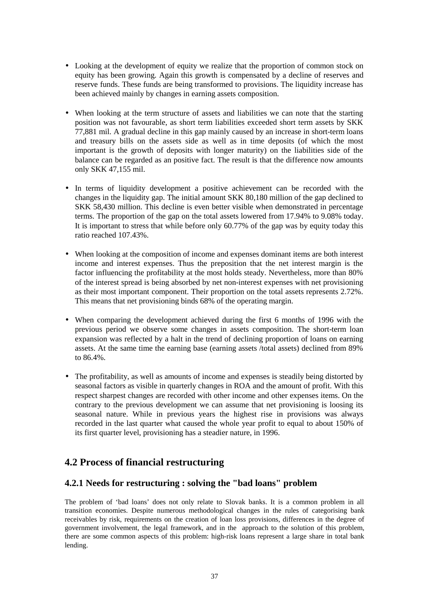- Looking at the development of equity we realize that the proportion of common stock on equity has been growing. Again this growth is compensated by a decline of reserves and reserve funds. These funds are being transformed to provisions. The liquidity increase has been achieved mainly by changes in earning assets composition.
- When looking at the term structure of assets and liabilities we can note that the starting position was not favourable, as short term liabilities exceeded short term assets by SKK 77,881 mil. A gradual decline in this gap mainly caused by an increase in short-term loans and treasury bills on the assets side as well as in time deposits (of which the most important is the growth of deposits with longer maturity) on the liabilities side of the balance can be regarded as an positive fact. The result is that the difference now amounts only SKK 47,155 mil.
- In terms of liquidity development a positive achievement can be recorded with the changes in the liquidity gap. The initial amount SKK 80,180 million of the gap declined to SKK 58,430 million. This decline is even better visible when demonstrated in percentage terms. The proportion of the gap on the total assets lowered from 17.94% to 9.08% today. It is important to stress that while before only 60.77% of the gap was by equity today this ratio reached 107.43%.
- When looking at the composition of income and expenses dominant items are both interest income and interest expenses. Thus the preposition that the net interest margin is the factor influencing the profitability at the most holds steady. Nevertheless, more than 80% of the interest spread is being absorbed by net non-interest expenses with net provisioning as their most important component. Their proportion on the total assets represents 2.72%. This means that net provisioning binds 68% of the operating margin.
- When comparing the development achieved during the first 6 months of 1996 with the previous period we observe some changes in assets composition. The short-term loan expansion was reflected by a halt in the trend of declining proportion of loans on earning assets. At the same time the earning base (earning assets /total assets) declined from 89% to 86.4%.
- The profitability, as well as amounts of income and expenses is steadily being distorted by seasonal factors as visible in quarterly changes in ROA and the amount of profit. With this respect sharpest changes are recorded with other income and other expenses items. On the contrary to the previous development we can assume that net provisioning is loosing its seasonal nature. While in previous years the highest rise in provisions was always recorded in the last quarter what caused the whole year profit to equal to about 150% of its first quarter level, provisioning has a steadier nature, in 1996.

# **4.2 Process of financial restructuring**

# **4.2.1 Needs for restructuring : solving the "bad loans" problem**

The problem of 'bad loans' does not only relate to Slovak banks. It is a common problem in all transition economies. Despite numerous methodological changes in the rules of categorising bank receivables by risk, requirements on the creation of loan loss provisions, differences in the degree of government involvement, the legal framework, and in the approach to the solution of this problem, there are some common aspects of this problem: high-risk loans represent a large share in total bank lending.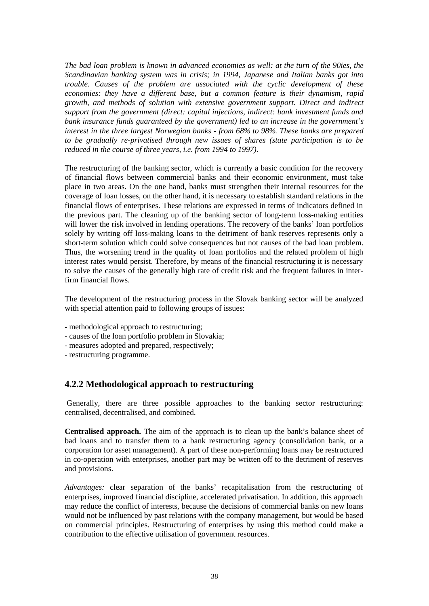*The bad loan problem is known in advanced economies as well: at the turn of the 90ies, the Scandinavian banking system was in crisis; in 1994, Japanese and Italian banks got into trouble. Causes of the problem are associated with the cyclic development of these economies: they have a different base, but a common feature is their dynamism, rapid growth, and methods of solution with extensive government support. Direct and indirect support from the government (direct: capital injections, indirect: bank investment funds and bank insurance funds guaranteed by the government) led to an increase in the government's interest in the three largest Norwegian banks - from 68% to 98%. These banks are prepared to be gradually re-privatised through new issues of shares (state participation is to be reduced in the course of three years, i.e. from 1994 to 1997).* 

The restructuring of the banking sector, which is currently a basic condition for the recovery of financial flows between commercial banks and their economic environment, must take place in two areas. On the one hand, banks must strengthen their internal resources for the coverage of loan losses, on the other hand, it is necessary to establish standard relations in the financial flows of enterprises. These relations are expressed in terms of indicators defined in the previous part. The cleaning up of the banking sector of long-term loss-making entities will lower the risk involved in lending operations. The recovery of the banks' loan portfolios solely by writing off loss-making loans to the detriment of bank reserves represents only a short-term solution which could solve consequences but not causes of the bad loan problem. Thus, the worsening trend in the quality of loan portfolios and the related problem of high interest rates would persist. Therefore, by means of the financial restructuring it is necessary to solve the causes of the generally high rate of credit risk and the frequent failures in interfirm financial flows.

The development of the restructuring process in the Slovak banking sector will be analyzed with special attention paid to following groups of issues:

- methodological approach to restructuring;
- causes of the loan portfolio problem in Slovakia;
- measures adopted and prepared, respectively;
- restructuring programme.

# **4.2.2 Methodological approach to restructuring**

 Generally, there are three possible approaches to the banking sector restructuring: centralised, decentralised, and combined.

**Centralised approach.** The aim of the approach is to clean up the bank's balance sheet of bad loans and to transfer them to a bank restructuring agency (consolidation bank, or a corporation for asset management). A part of these non-performing loans may be restructured in co-operation with enterprises, another part may be written off to the detriment of reserves and provisions.

*Advantages:* clear separation of the banks' recapitalisation from the restructuring of enterprises, improved financial discipline, accelerated privatisation. In addition, this approach may reduce the conflict of interests, because the decisions of commercial banks on new loans would not be influenced by past relations with the company management, but would be based on commercial principles. Restructuring of enterprises by using this method could make a contribution to the effective utilisation of government resources.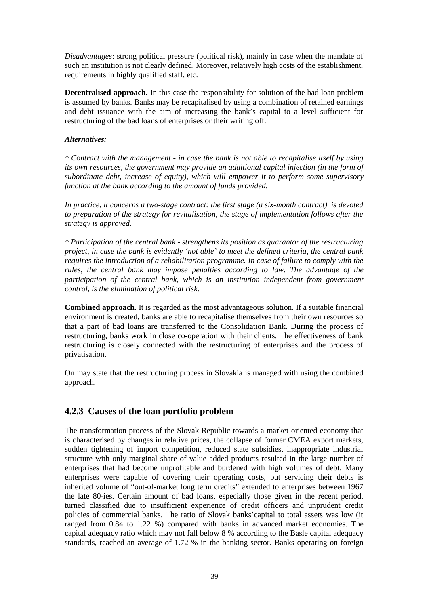*Disadvantages*: strong political pressure (political risk), mainly in case when the mandate of such an institution is not clearly defined. Moreover, relatively high costs of the establishment, requirements in highly qualified staff, etc.

**Decentralised approach.** In this case the responsibility for solution of the bad loan problem is assumed by banks. Banks may be recapitalised by using a combination of retained earnings and debt issuance with the aim of increasing the bank's capital to a level sufficient for restructuring of the bad loans of enterprises or their writing off.

### *Alternatives:*

*\* Contract with the management - in case the bank is not able to recapitalise itself by using its own resources, the government may provide an additional capital injection (in the form of subordinate debt, increase of equity), which will empower it to perform some supervisory function at the bank according to the amount of funds provided.* 

*In practice, it concerns a two-stage contract: the first stage (a six-month contract) is devoted to preparation of the strategy for revitalisation, the stage of implementation follows after the strategy is approved.* 

*\* Participation of the central bank - strengthens its position as guarantor of the restructuring project, in case the bank is evidently 'not able' to meet the defined criteria, the central bank requires the introduction of a rehabilitation programme. In case of failure to comply with the rules, the central bank may impose penalties according to law. The advantage of the participation of the central bank, which is an institution independent from government control, is the elimination of political risk.* 

**Combined approach.** It is regarded as the most advantageous solution. If a suitable financial environment is created, banks are able to recapitalise themselves from their own resources so that a part of bad loans are transferred to the Consolidation Bank. During the process of restructuring, banks work in close co-operation with their clients. The effectiveness of bank restructuring is closely connected with the restructuring of enterprises and the process of privatisation.

On may state that the restructuring process in Slovakia is managed with using the combined approach.

# **4.2.3 Causes of the loan portfolio problem**

The transformation process of the Slovak Republic towards a market oriented economy that is characterised by changes in relative prices, the collapse of former CMEA export markets, sudden tightening of import competition, reduced state subsidies, inappropriate industrial structure with only marginal share of value added products resulted in the large number of enterprises that had become unprofitable and burdened with high volumes of debt. Many enterprises were capable of covering their operating costs, but servicing their debts is inherited volume of "out-of-market long term credits" extended to enterprises between 1967 the late 80-ies. Certain amount of bad loans, especially those given in the recent period, turned classified due to insufficient experience of credit officers and unprudent credit policies of commercial banks. The ratio of Slovak banks'capital to total assets was low (it ranged from 0.84 to 1.22 %) compared with banks in advanced market economies. The capital adequacy ratio which may not fall below 8 % according to the Basle capital adequacy standards, reached an average of 1.72 % in the banking sector. Banks operating on foreign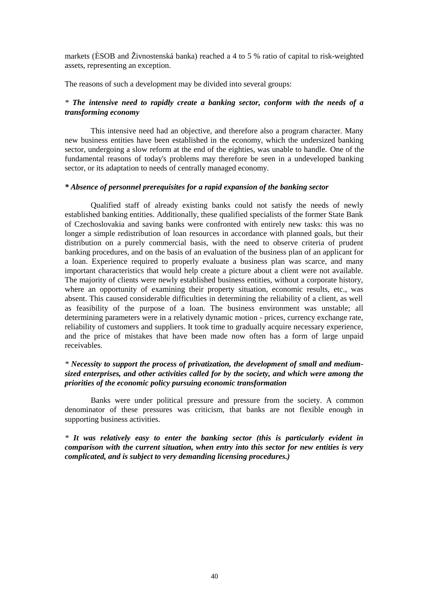markets (ÈSOB and Živnostenská banka) reached a 4 to 5 % ratio of capital to risk-weighted assets, representing an exception.

The reasons of such a development may be divided into several groups:

# *\* The intensive need to rapidly create a banking sector, conform with the needs of a transforming economy*

This intensive need had an objective, and therefore also a program character. Many new business entities have been established in the economy, which the undersized banking sector, undergoing a slow reform at the end of the eighties, was unable to handle. One of the fundamental reasons of today's problems may therefore be seen in a undeveloped banking sector, or its adaptation to needs of centrally managed economy.

### *\* Absence of personnel prerequisites for a rapid expansion of the banking sector*

Qualified staff of already existing banks could not satisfy the needs of newly established banking entities. Additionally, these qualified specialists of the former State Bank of Czechoslovakia and saving banks were confronted with entirely new tasks: this was no longer a simple redistribution of loan resources in accordance with planned goals, but their distribution on a purely commercial basis, with the need to observe criteria of prudent banking procedures, and on the basis of an evaluation of the business plan of an applicant for a loan. Experience required to properly evaluate a business plan was scarce, and many important characteristics that would help create a picture about a client were not available. The majority of clients were newly established business entities, without a corporate history, where an opportunity of examining their property situation, economic results, etc., was absent. This caused considerable difficulties in determining the reliability of a client, as well as feasibility of the purpose of a loan. The business environment was unstable; all determining parameters were in a relatively dynamic motion - prices, currency exchange rate, reliability of customers and suppliers. It took time to gradually acquire necessary experience, and the price of mistakes that have been made now often has a form of large unpaid receivables.

### *\* Necessity to support the process of privatization, the development of small and mediumsized enterprises, and other activities called for by the society, and which were among the priorities of the economic policy pursuing economic transformation*

Banks were under political pressure and pressure from the society. A common denominator of these pressures was criticism, that banks are not flexible enough in supporting business activities.

*\* It was relatively easy to enter the banking sector (this is particularly evident in comparison with the current situation, when entry into this sector for new entities is very complicated, and is subject to very demanding licensing procedures.)*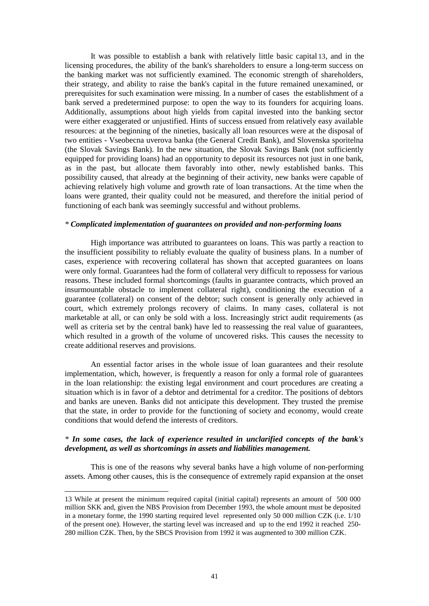It was possible to establish a bank with relatively little basic capital 13, and in the licensing procedures, the ability of the bank's shareholders to ensure a long-term success on the banking market was not sufficiently examined. The economic strength of shareholders, their strategy, and ability to raise the bank's capital in the future remained unexamined, or prerequisites for such examination were missing. In a number of cases the establishment of a bank served a predetermined purpose: to open the way to its founders for acquiring loans. Additionally, assumptions about high yields from capital invested into the banking sector were either exaggerated or unjustified. Hints of success ensued from relatively easy available resources: at the beginning of the nineties, basically all loan resources were at the disposal of two entities - Vseobecna uverova banka (the General Credit Bank), and Slovenska sporitelna (the Slovak Savings Bank). In the new situation, the Slovak Savings Bank (not sufficiently equipped for providing loans) had an opportunity to deposit its resources not just in one bank, as in the past, but allocate them favorably into other, newly established banks. This possibility caused, that already at the beginning of their activity, new banks were capable of achieving relatively high volume and growth rate of loan transactions. At the time when the loans were granted, their quality could not be measured, and therefore the initial period of functioning of each bank was seemingly successful and without problems.

### *\* Complicated implementation of guarantees on provided and non-performing loans*

High importance was attributed to guarantees on loans. This was partly a reaction to the insufficient possibility to reliably evaluate the quality of business plans. In a number of cases, experience with recovering collateral has shown that accepted guarantees on loans were only formal. Guarantees had the form of collateral very difficult to repossess for various reasons. These included formal shortcomings (faults in guarantee contracts, which proved an insurmountable obstacle to implement collateral right), conditioning the execution of a guarantee (collateral) on consent of the debtor; such consent is generally only achieved in court, which extremely prolongs recovery of claims. In many cases, collateral is not marketable at all, or can only be sold with a loss. Increasingly strict audit requirements (as well as criteria set by the central bank) have led to reassessing the real value of guarantees, which resulted in a growth of the volume of uncovered risks. This causes the necessity to create additional reserves and provisions.

An essential factor arises in the whole issue of loan guarantees and their resolute implementation, which, however, is frequently a reason for only a formal role of guarantees in the loan relationship: the existing legal environment and court procedures are creating a situation which is in favor of a debtor and detrimental for a creditor. The positions of debtors and banks are uneven. Banks did not anticipate this development. They trusted the premise that the state, in order to provide for the functioning of society and economy, would create conditions that would defend the interests of creditors.

### *\* In some cases, the lack of experience resulted in unclarified concepts of the bank's development, as well as shortcomings in assets and liabilities management.*

This is one of the reasons why several banks have a high volume of non-performing assets. Among other causes, this is the consequence of extremely rapid expansion at the onset

l

<sup>13</sup> While at present the minimum required capital (initial capital) represents an amount of 500 000 million SKK and, given the NBS Provision from December 1993, the whole amount must be deposited in a monetary forme, the 1990 starting required level represented only 50 000 million CZK (i.e. 1/10 of the present one). However, the starting level was increased and up to the end 1992 it reached 250- 280 million CZK. Then, by the SBCS Provision from 1992 it was augmented to 300 million CZK.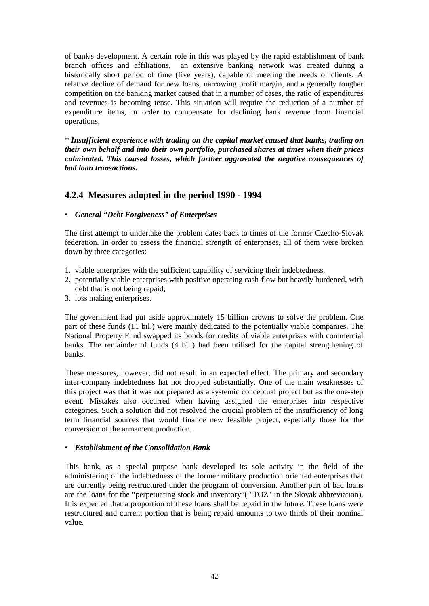of bank's development. A certain role in this was played by the rapid establishment of bank branch offices and affiliations, an extensive banking network was created during a historically short period of time (five years), capable of meeting the needs of clients. A relative decline of demand for new loans, narrowing profit margin, and a generally tougher competition on the banking market caused that in a number of cases, the ratio of expenditures and revenues is becoming tense. This situation will require the reduction of a number of expenditure items, in order to compensate for declining bank revenue from financial operations.

*\* Insufficient experience with trading on the capital market caused that banks, trading on their own behalf and into their own portfolio, purchased shares at times when their prices culminated. This caused losses, which further aggravated the negative consequences of bad loan transactions.* 

# **4.2.4 Measures adopted in the period 1990 - 1994**

### • *General "Debt Forgiveness" of Enterprises*

The first attempt to undertake the problem dates back to times of the former Czecho-Slovak federation. In order to assess the financial strength of enterprises, all of them were broken down by three categories:

- 1. viable enterprises with the sufficient capability of servicing their indebtedness,
- 2. potentially viable enterprises with positive operating cash-flow but heavily burdened, with debt that is not being repaid,
- 3. loss making enterprises.

The government had put aside approximately 15 billion crowns to solve the problem. One part of these funds (11 bil.) were mainly dedicated to the potentially viable companies. The National Property Fund swapped its bonds for credits of viable enterprises with commercial banks. The remainder of funds (4 bil.) had been utilised for the capital strengthening of banks.

These measures, however, did not result in an expected effect. The primary and secondary inter-company indebtedness hat not dropped substantially. One of the main weaknesses of this project was that it was not prepared as a systemic conceptual project but as the one-step event. Mistakes also occurred when having assigned the enterprises into respective categories. Such a solution did not resolved the crucial problem of the insufficiency of long term financial sources that would finance new feasible project, especially those for the conversion of the armament production.

### • *Establishment of the Consolidation Bank*

This bank, as a special purpose bank developed its sole activity in the field of the administering of the indebtedness of the former military production oriented enterprises that are currently being restructured under the program of conversion. Another part of bad loans are the loans for the "perpetuating stock and inventory"( "TOZ" in the Slovak abbreviation). It is expected that a proportion of these loans shall be repaid in the future. These loans were restructured and current portion that is being repaid amounts to two thirds of their nominal value.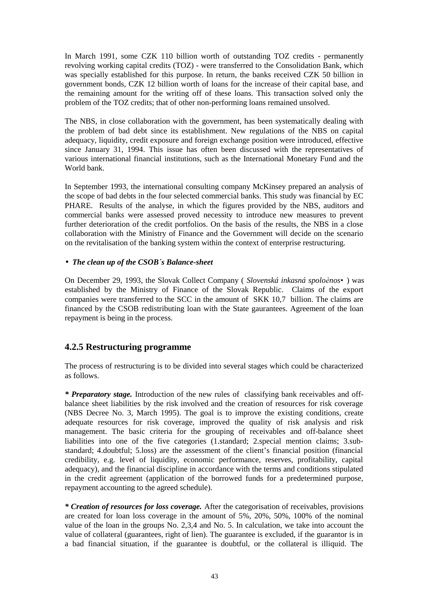In March 1991, some CZK 110 billion worth of outstanding TOZ credits - permanently revolving working capital credits (TOZ) - were transferred to the Consolidation Bank, which was specially established for this purpose. In return, the banks received CZK 50 billion in government bonds, CZK 12 billion worth of loans for the increase of their capital base, and the remaining amount for the writing off of these loans. This transaction solved only the problem of the TOZ credits; that of other non-performing loans remained unsolved.

The NBS, in close collaboration with the government, has been systematically dealing with the problem of bad debt since its establishment. New regulations of the NBS on capital adequacy, liquidity, credit exposure and foreign exchange position were introduced, effective since January 31, 1994. This issue has often been discussed with the representatives of various international financial institutions, such as the International Monetary Fund and the World bank.

In September 1993, the international consulting company McKinsey prepared an analysis of the scope of bad debts in the four selected commercial banks. This study was financial by EC PHARE. Results of the analyse, in which the figures provided by the NBS, auditors and commercial banks were assessed proved necessity to introduce new measures to prevent further deterioration of the credit portfolios. On the basis of the results, the NBS in a close collaboration with the Ministry of Finance and the Government will decide on the scenario on the revitalisation of the banking system within the context of enterprise restructuring.

# • *The clean up of the CSOB´s Balance-sheet*

On December 29, 1993, the Slovak Collect Company ( *Slovenská inkasná spoloènos•*) was established by the Ministry of Finance of the Slovak Republic. Claims of the export companies were transferred to the SCC in the amount of SKK 10,7 billion. The claims are financed by the CSOB redistributing loan with the State gaurantees. Agreement of the loan repayment is being in the process.

# **4.2.5 Restructuring programme**

The process of restructuring is to be divided into several stages which could be characterized as follows.

*\* Preparatory stage.* Introduction of the new rules of classifying bank receivables and offbalance sheet liabilities by the risk involved and the creation of resources for risk coverage (NBS Decree No. 3, March 1995). The goal is to improve the existing conditions, create adequate resources for risk coverage, improved the quality of risk analysis and risk management. The basic criteria for the grouping of receivables and off-balance sheet liabilities into one of the five categories (1.standard; 2.special mention claims; 3.substandard; 4.doubtful; 5.loss) are the assessment of the client's financial position (financial credibility, e.g. level of liquidity, economic performance, reserves, profitability, capital adequacy), and the financial discipline in accordance with the terms and conditions stipulated in the credit agreement (application of the borrowed funds for a predetermined purpose, repayment accounting to the agreed schedule).

*\* Creation of resources for loss coverage.* After the categorisation of receivables, provisions are created for loan loss coverage in the amount of 5%, 20%, 50%, 100% of the nominal value of the loan in the groups No. 2,3,4 and No. 5. In calculation, we take into account the value of collateral (guarantees, right of lien). The guarantee is excluded, if the guarantor is in a bad financial situation, if the guarantee is doubtful, or the collateral is illiquid. The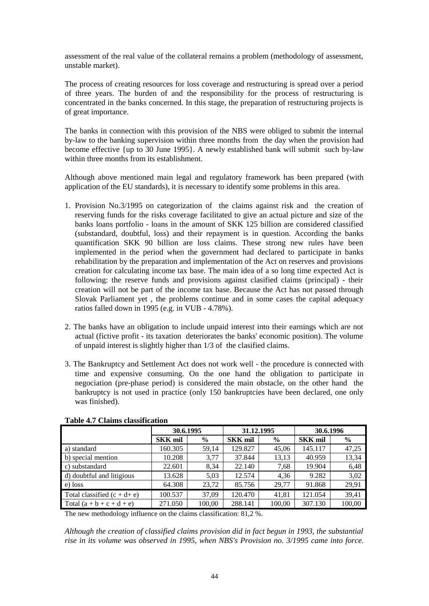assessment of the real value of the collateral remains a problem (methodology of assessment, unstable market).

The process of creating resources for loss coverage and restructuring is spread over a period of three years. The burden of and the responsibility for the process of restructuring is concentrated in the banks concerned. In this stage, the preparation of restructuring projects is of great importance.

The banks in connection with this provision of the NBS were obliged to submit the internal by-law to the banking supervision within three months from the day when the provision had become effective {up to 30 June 1995}. A newly established bank will submit such by-law within three months from its establishment.

Although above mentioned main legal and regulatory framework has been prepared (with application of the EU standards), it is necessary to identify some problems in this area.

- 1. Provision No.3/1995 on categorization of the claims against risk and the creation of reserving funds for the risks coverage facilitated to give an actual picture and size of the banks loans portfolio - loans in the amount of SKK 125 billion are considered classified (substandard, doubtful, loss) and their repayment is in question. According the banks quantification SKK 90 billion are loss claims. These strong new rules have been implemented in the period when the government had declared to participate in banks rehabilitation by the preparation and implementation of the Act on reserves and provisions creation for calculating income tax base. The main idea of a so long time expected Act is following: the reserve funds and provisions against clasified claims (principal) - their creation will not be part of the income tax base. Because the Act has not passed through Slovak Parliament yet , the problems continue and in some cases the capital adequacy ratios falled down in 1995 (e.g. in VUB - 4.78%).
- 2. The banks have an obligation to include unpaid interest into their earnings which are not actual (fictive profit - its taxation deteriorates the banks' economic position). The volume of unpaid interest is slightly higher than 1/3 of the clasified claims.
- 3. The Bankruptcy and Settlement Act does not work well the procedure is connected with time and expensive consuming. On the one hand the obligation to participate in negociation (pre-phase period) is considered the main obstacle, on the other hand the bankruptcy is not used in practice (only 150 bankruptcies have been declared, one only was finished).

|                                | 30.6.1995      |               | 31.12.1995     |               | 30.6.1996      |               |  |
|--------------------------------|----------------|---------------|----------------|---------------|----------------|---------------|--|
|                                | <b>SKK mil</b> | $\frac{6}{9}$ | <b>SKK</b> mil | $\frac{6}{6}$ | <b>SKK mil</b> | $\frac{6}{9}$ |  |
| a) standard                    | 160.305        | 59,14         | 129.827        | 45,06         | 145.117        | 47,25         |  |
| b) special mention             | 10.208         | 3,77          | 37.844         | 13,13         | 40.959         | 13,34         |  |
| c) substandard                 | 22.601         | 8.34          | 22.140         | 7.68          | 19.904         | 6,48          |  |
| d) doubtful and litigious      | 13.628         | 5,03          | 12.574         | 4,36          | 9.282          | 3,02          |  |
| e) loss                        | 64.308         | 23,72         | 85.756         | 29,77         | 91.868         | 29,91         |  |
| Total classified $(c + d + e)$ | 100.537        | 37.09         | 120.470        | 41,81         | 121.054        | 39,41         |  |
| Total $(a + b + c + d + e)$    | 271.050        | 100,00        | 288.141        | 100,00        | 307.130        | 100,00        |  |

**Table 4.7 Claims classification**

The new methodology influence on the claims classification: 81,2 %.

*Although the creation of classified claims provision did in fact begun in 1993, the substantial rise in its volume was observed in 1995, when NBS's Provision no. 3/1995 came into force.*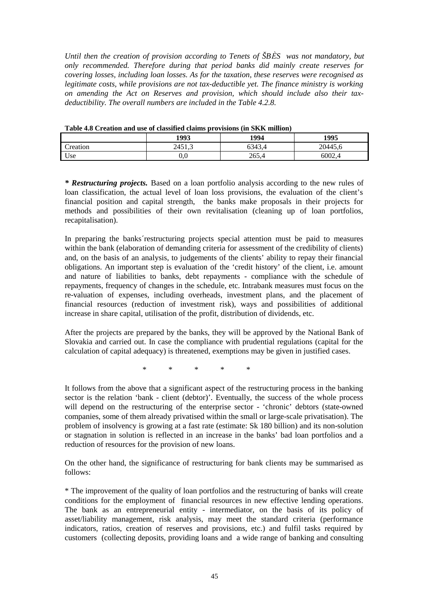*Until then the creation of provision according to Tenets of ŠBÈS was not mandatory, but only recommended. Therefore during that period banks did mainly create reserves for covering losses, including loan losses. As for the taxation, these reserves were recognised as legitimate costs, while provisions are not tax-deductible yet. The finance ministry is working on amending the Act on Reserves and provision, which should include also their taxdeductibility. The overall numbers are included in the Table 4.2.8.* 

|          | 1993     | Tuote no cleanon and abe of emodified chains providedly (in plain minimum)<br>1994 | 1995    |
|----------|----------|------------------------------------------------------------------------------------|---------|
| Creation | 2451,3   | 6343.4                                                                             | 20445.6 |
| Use      | $_{0.0}$ | 265,4                                                                              | 6002.4  |

**Table 4.8 Creation and use of classified claims provisions (in SKK million)** 

*\* Restructuring projects.* Based on a loan portfolio analysis according to the new rules of loan classification, the actual level of loan loss provisions, the evaluation of the client's financial position and capital strength, the banks make proposals in their projects for methods and possibilities of their own revitalisation (cleaning up of loan portfolios, recapitalisation).

In preparing the banks´restructuring projects special attention must be paid to measures within the bank (elaboration of demanding criteria for assessment of the credibility of clients) and, on the basis of an analysis, to judgements of the clients' ability to repay their financial obligations. An important step is evaluation of the 'credit history' of the client, i.e. amount and nature of liabilities to banks, debt repayments - compliance with the schedule of repayments, frequency of changes in the schedule, etc. Intrabank measures must focus on the re-valuation of expenses, including overheads, investment plans, and the placement of financial resources (reduction of investment risk), ways and possibilities of additional increase in share capital, utilisation of the profit, distribution of dividends, etc.

After the projects are prepared by the banks, they will be approved by the National Bank of Slovakia and carried out. In case the compliance with prudential regulations (capital for the calculation of capital adequacy) is threatened, exemptions may be given in justified cases.

 $*$  \* \* \* \* \*

It follows from the above that a significant aspect of the restructuring process in the banking sector is the relation 'bank - client (debtor)'. Eventually, the success of the whole process will depend on the restructuring of the enterprise sector - 'chronic' debtors (state-owned companies, some of them already privatised within the small or large-scale privatisation). The problem of insolvency is growing at a fast rate (estimate: Sk 180 billion) and its non-solution or stagnation in solution is reflected in an increase in the banks' bad loan portfolios and a reduction of resources for the provision of new loans.

On the other hand, the significance of restructuring for bank clients may be summarised as follows:

\* The improvement of the quality of loan portfolios and the restructuring of banks will create conditions for the employment of financial resources in new effective lending operations. The bank as an entrepreneurial entity - intermediator, on the basis of its policy of asset/liability management, risk analysis, may meet the standard criteria (performance indicators, ratios, creation of reserves and provisions, etc.) and fulfil tasks required by customers (collecting deposits, providing loans and a wide range of banking and consulting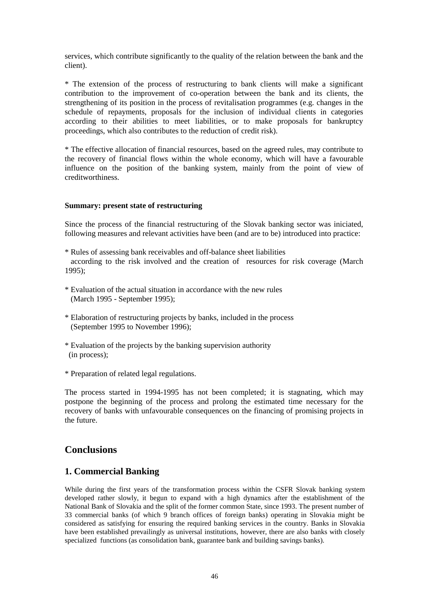services, which contribute significantly to the quality of the relation between the bank and the client).

\* The extension of the process of restructuring to bank clients will make a significant contribution to the improvement of co-operation between the bank and its clients, the strengthening of its position in the process of revitalisation programmes (e.g. changes in the schedule of repayments, proposals for the inclusion of individual clients in categories according to their abilities to meet liabilities, or to make proposals for bankruptcy proceedings, which also contributes to the reduction of credit risk).

\* The effective allocation of financial resources, based on the agreed rules, may contribute to the recovery of financial flows within the whole economy, which will have a favourable influence on the position of the banking system, mainly from the point of view of creditworthiness.

### **Summary: present state of restructuring**

Since the process of the financial restructuring of the Slovak banking sector was iniciated, following measures and relevant activities have been (and are to be) introduced into practice:

- \* Rules of assessing bank receivables and off-balance sheet liabilities according to the risk involved and the creation of resources for risk coverage (March 1995);
- \* Evaluation of the actual situation in accordance with the new rules (March 1995 - September 1995);
- \* Elaboration of restructuring projects by banks, included in the process (September 1995 to November 1996);
- \* Evaluation of the projects by the banking supervision authority (in process);
- \* Preparation of related legal regulations.

The process started in 1994-1995 has not been completed; it is stagnating, which may postpone the beginning of the process and prolong the estimated time necessary for the recovery of banks with unfavourable consequences on the financing of promising projects in the future.

# **Conclusions**

# **1. Commercial Banking**

While during the first years of the transformation process within the CSFR Slovak banking system developed rather slowly, it begun to expand with a high dynamics after the establishment of the National Bank of Slovakia and the split of the former common State, since 1993. The present number of 33 commercial banks (of which 9 branch offices of foreign banks) operating in Slovakia might be considered as satisfying for ensuring the required banking services in the country. Banks in Slovakia have been established prevailingly as universal institutions, however, there are also banks with closely specialized functions (as consolidation bank, guarantee bank and building savings banks).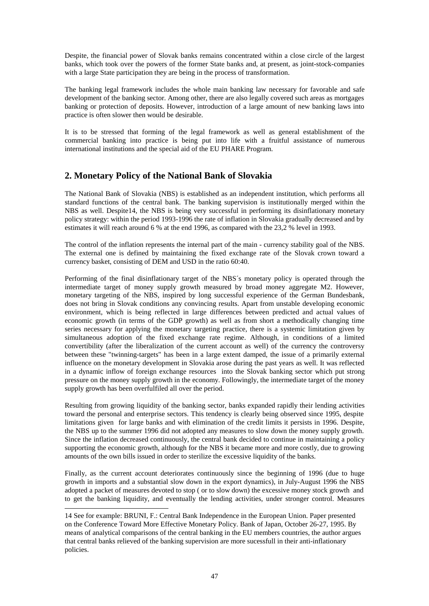Despite, the financial power of Slovak banks remains concentrated within a close circle of the largest banks, which took over the powers of the former State banks and, at present, as joint-stock-companies with a large State participation they are being in the process of transformation.

The banking legal framework includes the whole main banking law necessary for favorable and safe development of the banking sector. Among other, there are also legally covered such areas as mortgages banking or protection of deposits. However, introduction of a large amount of new banking laws into practice is often slower then would be desirable.

It is to be stressed that forming of the legal framework as well as general establishment of the commercial banking into practice is being put into life with a fruitful assistance of numerous international institutions and the special aid of the EU PHARE Program.

# **2. Monetary Policy of the National Bank of Slovakia**

The National Bank of Slovakia (NBS) is established as an independent institution, which performs all standard functions of the central bank. The banking supervision is institutionally merged within the NBS as well. Despite14, the NBS is being very successful in performing its disinflationary monetary policy strategy: within the period 1993-1996 the rate of inflation in Slovakia gradually decreased and by estimates it will reach around 6 % at the end 1996, as compared with the 23,2 % level in 1993.

The control of the inflation represents the internal part of the main - currency stability goal of the NBS. The external one is defined by maintaining the fixed exchange rate of the Slovak crown toward a currency basket, consisting of DEM and USD in the ratio 60:40.

Performing of the final disinflationary target of the NBS´s monetary policy is operated through the intermediate target of money supply growth measured by broad money aggregate M2. However, monetary targeting of the NBS, inspired by long successful experience of the German Bundesbank, does not bring in Slovak conditions any convincing results. Apart from unstable developing economic environment, which is being reflected in large differences between predicted and actual values of economic growth (in terms of the GDP growth) as well as from short a methodically changing time series necessary for applying the monetary targeting practice, there is a systemic limitation given by simultaneous adoption of the fixed exchange rate regime. Although, in conditions of a limited convertibility (after the liberalization of the current account as well) of the currency the controversy between these "twinning-targets" has been in a large extent damped, the issue of a primarily external influence on the monetary development in Slovakia arose during the past years as well. It was reflected in a dynamic inflow of foreign exchange resources into the Slovak banking sector which put strong pressure on the money supply growth in the economy. Followingly, the intermediate target of the money supply growth has been overfulfiled all over the period.

Resulting from growing liquidity of the banking sector, banks expanded rapidly their lending activities toward the personal and enterprise sectors. This tendency is clearly being observed since 1995, despite limitations given for large banks and with elimination of the credit limits it persists in 1996. Despite, the NBS up to the summer 1996 did not adopted any measures to slow down the money supply growth. Since the inflation decreased continuously, the central bank decided to continue in maintaining a policy supporting the economic growth, although for the NBS it became more and more costly, due to growing amounts of the own bills issued in order to sterilize the excessive liquidity of the banks.

Finally, as the current account deteriorates continuously since the beginning of 1996 (due to huge growth in imports and a substantial slow down in the export dynamics), in July-August 1996 the NBS adopted a packet of measures devoted to stop ( or to slow down) the excessive money stock growth and to get the banking liquidity, and eventually the lending activities, under stronger control. Measures

l

<sup>14</sup> See for example: BRUNI, F.: Central Bank Independence in the European Union. Paper presented on the Conference Toward More Effective Monetary Policy. Bank of Japan, October 26-27, 1995. By means of analytical comparisons of the central banking in the EU members countries, the author argues that central banks relieved of the banking supervision are more sucessfull in their anti-inflationary policies.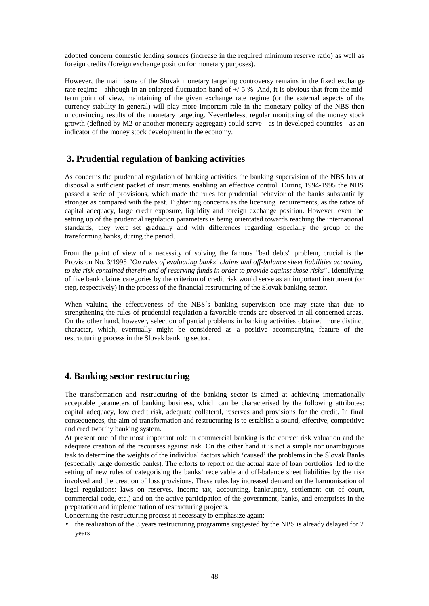adopted concern domestic lending sources (increase in the required minimum reserve ratio) as well as foreign credits (foreign exchange position for monetary purposes).

However, the main issue of the Slovak monetary targeting controversy remains in the fixed exchange rate regime - although in an enlarged fluctuation band of +/-5 %. And, it is obvious that from the midterm point of view, maintaining of the given exchange rate regime (or the external aspects of the currency stability in general) will play more important role in the monetary policy of the NBS then unconvincing results of the monetary targeting. Nevertheless, regular monitoring of the money stock growth (defined by M2 or another monetary aggregate) could serve - as in developed countries - as an indicator of the money stock development in the economy.

# **3. Prudential regulation of banking activities**

As concerns the prudential regulation of banking activities the banking supervision of the NBS has at disposal a sufficient packet of instruments enabling an effective control. During 1994-1995 the NBS passed a serie of provisions, which made the rules for prudential behavior of the banks substantially stronger as compared with the past. Tightening concerns as the licensing requirements, as the ratios of capital adequacy, large credit exposure, liquidity and foreign exchange position. However, even the setting up of the prudential regulation parameters is being orientated towards reaching the international standards, they were set gradually and with differences regarding especially the group of the transforming banks, during the period.

 From the point of view of a necessity of solving the famous "bad debts" problem, crucial is the Provision No. 3/1995 *"On rules of evaluating banks¢ claims and off-balance sheet liabilities according to the risk contained therein and of reserving funds in order to provide against those risks"* . Identifying of five bank claims categories by the criterion of credit risk would serve as an important instrument (or step, respectively) in the process of the financial restructuring of the Slovak banking sector.

When valuing the effectiveness of the NBS´s banking supervision one may state that due to strengthening the rules of prudential regulation a favorable trends are observed in all concerned areas. On the other hand, however, selection of partial problems in banking activities obtained more distinct character, which, eventually might be considered as a positive accompanying feature of the restructuring process in the Slovak banking sector.

# **4. Banking sector restructuring**

The transformation and restructuring of the banking sector is aimed at achieving internationally acceptable parameters of banking business, which can be characterised by the following attributes: capital adequacy, low credit risk, adequate collateral, reserves and provisions for the credit. In final consequences, the aim of transformation and restructuring is to establish a sound, effective, competitive and creditworthy banking system.

At present one of the most important role in commercial banking is the correct risk valuation and the adequate creation of the recourses against risk. On the other hand it is not a simple nor unambiguous task to determine the weights of the individual factors which 'caused' the problems in the Slovak Banks (especially large domestic banks). The efforts to report on the actual state of loan portfolios led to the setting of new rules of categorising the banks' receivable and off-balance sheet liabilities by the risk involved and the creation of loss provisions. These rules lay increased demand on the harmonisation of legal regulations: laws on reserves, income tax, accounting, bankruptcy, settlement out of court, commercial code, etc.) and on the active participation of the government, banks, and enterprises in the preparation and implementation of restructuring projects.

Concerning the restructuring process it necessary to emphasize again:

• the realization of the 3 years restructuring programme suggested by the NBS is already delayed for 2 years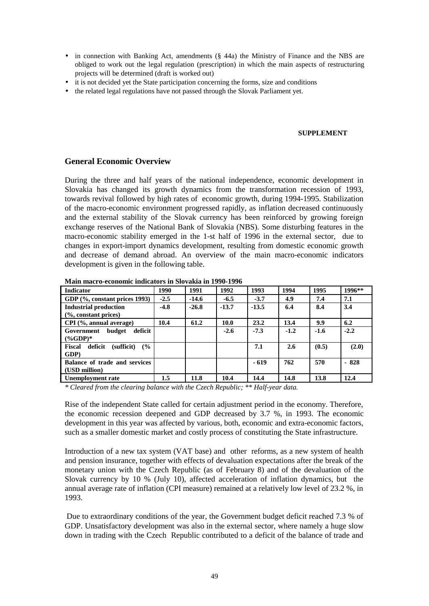- in connection with Banking Act, amendments (§ 44a) the Ministry of Finance and the NBS are obliged to work out the legal regulation (prescription) in which the main aspects of restructuring projects will be determined (draft is worked out)
- it is not decided yet the State participation concerning the forms, size and conditions
- the related legal regulations have not passed through the Slovak Parliament yet.

### **SUPPLEMENT**

### **General Economic Overview**

During the three and half years of the national independence, economic development in Slovakia has changed its growth dynamics from the transformation recession of 1993, towards revival followed by high rates of economic growth, during 1994-1995. Stabilization of the macro-economic environment progressed rapidly, as inflation decreased continuously and the external stability of the Slovak currency has been reinforced by growing foreign exchange reserves of the National Bank of Slovakia (NBS). Some disturbing features in the macro-economic stability emerged in the 1-st half of 1996 in the external sector, due to changes in export-import dynamics development, resulting from domestic economic growth and decrease of demand abroad. An overview of the main macro-economic indicators development is given in the following table.

| <b>Indicator</b>                                         | 1990   | 1991    | 1992    | 1993    | 1994   | 1995   | 1996** |
|----------------------------------------------------------|--------|---------|---------|---------|--------|--------|--------|
| GDP (%, constant prices 1993)                            | $-2.5$ | $-14.6$ | $-6.5$  | $-3.7$  | 4.9    | 7.4    | 7.1    |
| <b>Industrial production</b><br>$(\%$ , constant prices) | $-4.8$ | $-26.8$ | $-13.7$ | $-13.5$ | 6.4    | 8.4    | 3.4    |
| $CPI$ (%, annual average)                                | 10.4   | 61.2    | 10.0    | 23.2    | 13.4   | 9.9    | 6.2    |
| deficit<br>budget<br>Government<br>$(\%GDP)^*$           |        |         | $-2.6$  | $-7.3$  | $-1.2$ | $-1.6$ | $-2.2$ |
| deficit<br><b>Fiscal</b><br>(sufficit)<br>(%<br>GDP)     |        |         |         | 7.1     | 2.6    | (0.5)  | (2.0)  |
| Balance of trade and services<br>(USD million)           |        |         |         | $-619$  | 762    | 570    | $-828$ |
| Unemployment rate                                        | 1.5    | 11.8    | 10.4    | 14.4    | 14.8   | 13.8   | 12.4   |

**Main macro-economic indicators in Slovakia in 1990-1996** 

*\* Cleared from the clearing balance with the Czech Republic; \*\* Half-year data.* 

Rise of the independent State called for certain adjustment period in the economy. Therefore, the economic recession deepened and GDP decreased by 3.7 %, in 1993. The economic development in this year was affected by various, both, economic and extra-economic factors, such as a smaller domestic market and costly process of constituting the State infrastructure.

Introduction of a new tax system (VAT base) and other reforms, as a new system of health and pension insurance, together with effects of devaluation expectations after the break of the monetary union with the Czech Republic (as of February 8) and of the devaluation of the Slovak currency by 10 % (July 10), affected acceleration of inflation dynamics, but the annual average rate of inflation (CPI measure) remained at a relatively low level of 23.2 %, in 1993.

 Due to extraordinary conditions of the year, the Government budget deficit reached 7.3 % of GDP. Unsatisfactory development was also in the external sector, where namely a huge slow down in trading with the Czech Republic contributed to a deficit of the balance of trade and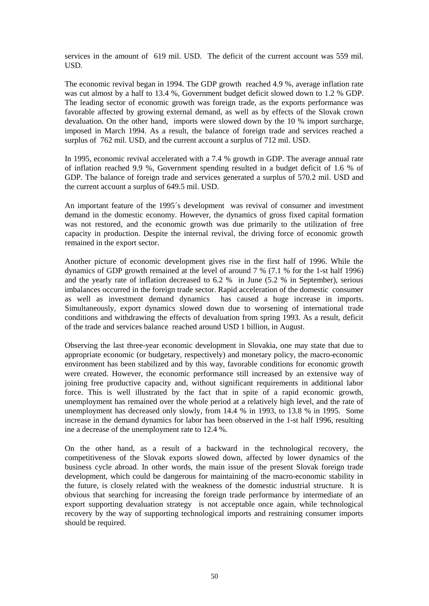services in the amount of 619 mil. USD. The deficit of the current account was 559 mil. USD.

The economic revival began in 1994. The GDP growth reached 4.9 %, average inflation rate was cut almost by a half to 13.4 %, Government budget deficit slowed down to 1.2 % GDP. The leading sector of economic growth was foreign trade, as the exports performance was favorable affected by growing external demand, as well as by effects of the Slovak crown devaluation. On the other hand, imports were slowed down by the 10 % import surcharge, imposed in March 1994. As a result, the balance of foreign trade and services reached a surplus of 762 mil. USD, and the current account a surplus of 712 mil. USD.

In 1995, economic revival accelerated with a 7.4 % growth in GDP. The average annual rate of inflation reached 9.9 %, Government spending resulted in a budget deficit of 1.6 % of GDP. The balance of foreign trade and services generated a surplus of 570.2 mil. USD and the current account a surplus of 649.5 mil. USD.

An important feature of the 1995´s development was revival of consumer and investment demand in the domestic economy. However, the dynamics of gross fixed capital formation was not restored, and the economic growth was due primarily to the utilization of free capacity in production. Despite the internal revival, the driving force of economic growth remained in the export sector.

Another picture of economic development gives rise in the first half of 1996. While the dynamics of GDP growth remained at the level of around 7 % (7.1 % for the 1-st half 1996) and the yearly rate of inflation decreased to 6.2 % in June (5.2 % in September), serious imbalances occurred in the foreign trade sector. Rapid acceleration of the domestic consumer as well as investment demand dynamics has caused a huge increase in imports. Simultaneously, export dynamics slowed down due to worsening of international trade conditions and withdrawing the effects of devaluation from spring 1993. As a result, deficit of the trade and services balance reached around USD 1 billion, in August.

Observing the last three-year economic development in Slovakia, one may state that due to appropriate economic (or budgetary, respectively) and monetary policy, the macro-economic environment has been stabilized and by this way, favorable conditions for economic growth were created. However, the economic performance still increased by an extensive way of joining free productive capacity and, without significant requirements in additional labor force. This is well illustrated by the fact that in spite of a rapid economic growth, unemployment has remained over the whole period at a relatively high level, and the rate of unemployment has decreased only slowly, from 14.4 % in 1993, to 13.8 % in 1995. Some increase in the demand dynamics for labor has been observed in the 1-st half 1996, resulting ine a decrease of the unemployment rate to 12.4 %.

On the other hand, as a result of a backward in the technological recovery, the competitiveness of the Slovak exports slowed down, affected by lower dynamics of the business cycle abroad. In other words, the main issue of the present Slovak foreign trade development, which could be dangerous for maintaining of the macro-economic stability in the future, is closely related with the weakness of the domestic industrial structure. It is obvious that searching for increasing the foreign trade performance by intermediate of an export supporting devaluation strategy is not acceptable once again, while technological recovery by the way of supporting technological imports and restraining consumer imports should be required.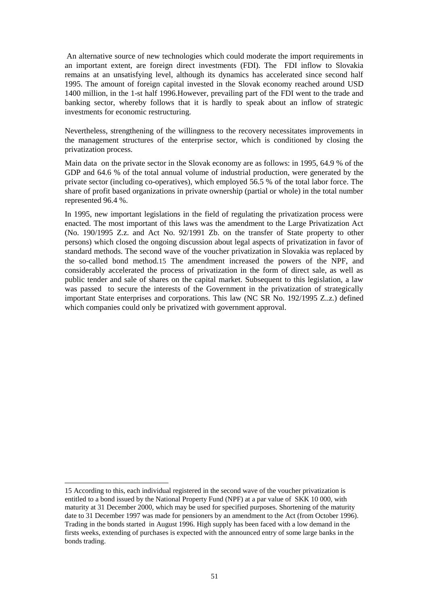An alternative source of new technologies which could moderate the import requirements in an important extent, are foreign direct investments (FDI). The FDI inflow to Slovakia remains at an unsatisfying level, although its dynamics has accelerated since second half 1995. The amount of foreign capital invested in the Slovak economy reached around USD 1400 million, in the 1-st half 1996.However, prevailing part of the FDI went to the trade and banking sector, whereby follows that it is hardly to speak about an inflow of strategic investments for economic restructuring.

Nevertheless, strengthening of the willingness to the recovery necessitates improvements in the management structures of the enterprise sector, which is conditioned by closing the privatization process.

Main data on the private sector in the Slovak economy are as follows: in 1995, 64.9 % of the GDP and 64.6 % of the total annual volume of industrial production, were generated by the private sector (including co-operatives), which employed 56.5 % of the total labor force. The share of profit based organizations in private ownership (partial or whole) in the total number represented 96.4 %.

In 1995, new important legislations in the field of regulating the privatization process were enacted. The most important of this laws was the amendment to the Large Privatization Act (No. 190/1995 Z.z. and Act No. 92/1991 Zb. on the transfer of State property to other persons) which closed the ongoing discussion about legal aspects of privatization in favor of standard methods. The second wave of the voucher privatization in Slovakia was replaced by the so-called bond method.15 The amendment increased the powers of the NPF, and considerably accelerated the process of privatization in the form of direct sale, as well as public tender and sale of shares on the capital market. Subsequent to this legislation, a law was passed to secure the interests of the Government in the privatization of strategically important State enterprises and corporations. This law (NC SR No. 192/1995 Z..z.) defined which companies could only be privatized with government approval.

l

<sup>15</sup> According to this, each individual registered in the second wave of the voucher privatization is entitled to a bond issued by the National Property Fund (NPF) at a par value of SKK 10 000, with maturity at 31 December 2000, which may be used for specified purposes. Shortening of the maturity date to 31 December 1997 was made for pensioners by an amendment to the Act (from October 1996). Trading in the bonds started in August 1996. High supply has been faced with a low demand in the firsts weeks, extending of purchases is expected with the announced entry of some large banks in the bonds trading.